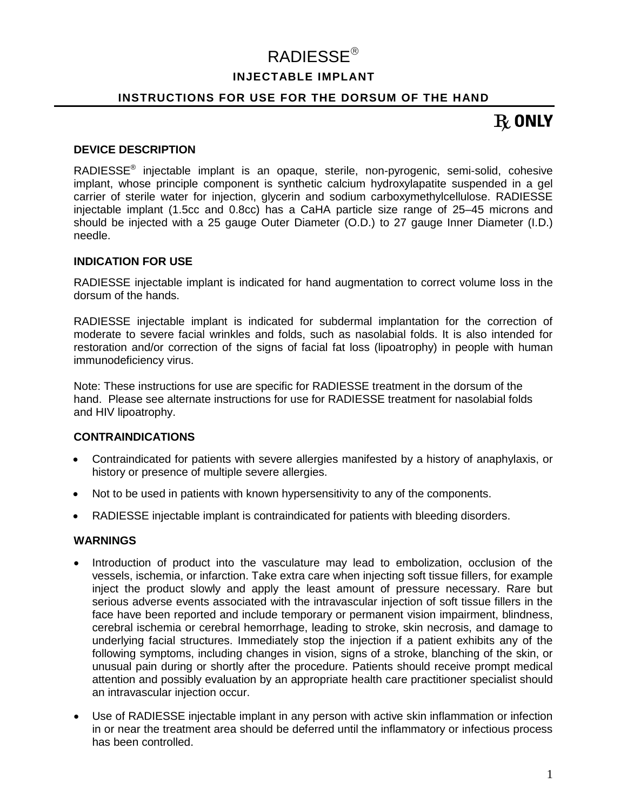# RADIESSE

# **INJECTABLE IMPLANT**

# **INSTRUCTIONS FOR USE FOR THE DORSUM OF THE HAND**

# $R$  ONLY

#### **DEVICE DESCRIPTION**

RADIESSE<sup>®</sup> injectable implant is an opaque, sterile, non-pyrogenic, semi-solid, cohesive implant, whose principle component is synthetic calcium hydroxylapatite suspended in a gel carrier of sterile water for injection, glycerin and sodium carboxymethylcellulose. RADIESSE injectable implant (1.5cc and 0.8cc) has a CaHA particle size range of 25–45 microns and should be injected with a 25 gauge Outer Diameter (O.D.) to 27 gauge Inner Diameter (I.D.) needle.

### **INDICATION FOR USE**

RADIESSE injectable implant is indicated for hand augmentation to correct volume loss in the dorsum of the hands.

RADIESSE injectable implant is indicated for subdermal implantation for the correction of moderate to severe facial wrinkles and folds, such as nasolabial folds. It is also intended for restoration and/or correction of the signs of facial fat loss (lipoatrophy) in people with human immunodeficiency virus.

Note: These instructions for use are specific for RADIESSE treatment in the dorsum of the hand. Please see alternate instructions for use for RADIESSE treatment for nasolabial folds and HIV lipoatrophy.

#### **CONTRAINDICATIONS**

- Contraindicated for patients with severe allergies manifested by a history of anaphylaxis, or history or presence of multiple severe allergies.
- Not to be used in patients with known hypersensitivity to any of the components.
- RADIESSE injectable implant is contraindicated for patients with bleeding disorders.

#### **WARNINGS**

- Introduction of product into the vasculature may lead to embolization, occlusion of the vessels, ischemia, or infarction. Take extra care when injecting soft tissue fillers, for example inject the product slowly and apply the least amount of pressure necessary. Rare but serious adverse events associated with the intravascular injection of soft tissue fillers in the face have been reported and include temporary or permanent vision impairment, blindness, cerebral ischemia or cerebral hemorrhage, leading to stroke, skin necrosis, and damage to underlying facial structures. Immediately stop the injection if a patient exhibits any of the following symptoms, including changes in vision, signs of a stroke, blanching of the skin, or unusual pain during or shortly after the procedure. Patients should receive prompt medical attention and possibly evaluation by an appropriate health care practitioner specialist should an intravascular injection occur.
- Use of RADIESSE injectable implant in any person with active skin inflammation or infection in or near the treatment area should be deferred until the inflammatory or infectious process has been controlled.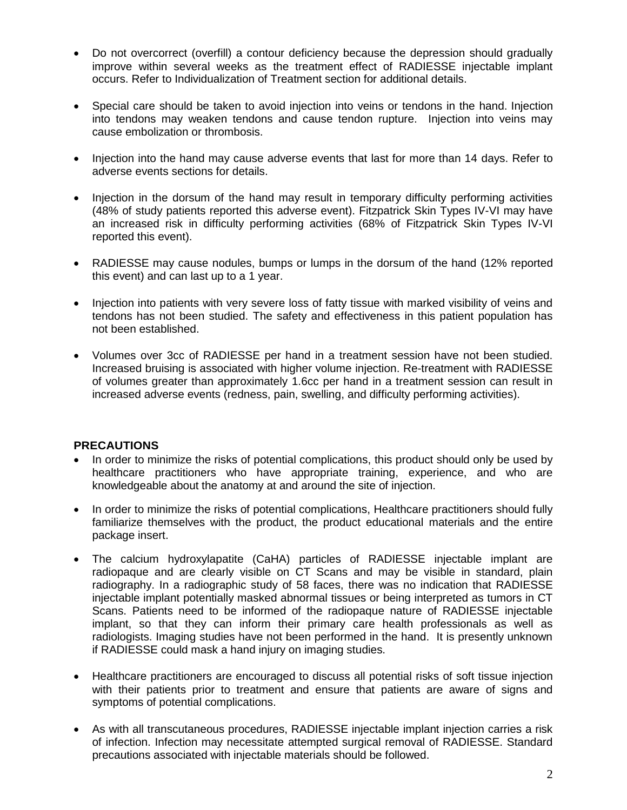- Do not overcorrect (overfill) a contour deficiency because the depression should gradually improve within several weeks as the treatment effect of RADIESSE injectable implant occurs. Refer to Individualization of Treatment section for additional details.
- Special care should be taken to avoid injection into veins or tendons in the hand. Injection into tendons may weaken tendons and cause tendon rupture. Injection into veins may cause embolization or thrombosis.
- Injection into the hand may cause adverse events that last for more than 14 days. Refer to adverse events sections for details.
- Injection in the dorsum of the hand may result in temporary difficulty performing activities (48% of study patients reported this adverse event). Fitzpatrick Skin Types IV-VI may have an increased risk in difficulty performing activities (68% of Fitzpatrick Skin Types IV-VI reported this event).
- RADIESSE may cause nodules, bumps or lumps in the dorsum of the hand (12% reported this event) and can last up to a 1 year.
- Injection into patients with very severe loss of fatty tissue with marked visibility of veins and tendons has not been studied. The safety and effectiveness in this patient population has not been established.
- Volumes over 3cc of RADIESSE per hand in a treatment session have not been studied. Increased bruising is associated with higher volume injection. Re-treatment with RADIESSE of volumes greater than approximately 1.6cc per hand in a treatment session can result in increased adverse events (redness, pain, swelling, and difficulty performing activities).

# **PRECAUTIONS**

- In order to minimize the risks of potential complications, this product should only be used by healthcare practitioners who have appropriate training, experience, and who are knowledgeable about the anatomy at and around the site of injection.
- In order to minimize the risks of potential complications, Healthcare practitioners should fully familiarize themselves with the product, the product educational materials and the entire package insert.
- The calcium hydroxylapatite (CaHA) particles of RADIESSE injectable implant are radiopaque and are clearly visible on CT Scans and may be visible in standard, plain radiography. In a radiographic study of 58 faces, there was no indication that RADIESSE injectable implant potentially masked abnormal tissues or being interpreted as tumors in CT Scans. Patients need to be informed of the radiopaque nature of RADIESSE injectable implant, so that they can inform their primary care health professionals as well as radiologists. Imaging studies have not been performed in the hand. It is presently unknown if RADIESSE could mask a hand injury on imaging studies.
- Healthcare practitioners are encouraged to discuss all potential risks of soft tissue injection with their patients prior to treatment and ensure that patients are aware of signs and symptoms of potential complications.
- As with all transcutaneous procedures, RADIESSE injectable implant injection carries a risk of infection. Infection may necessitate attempted surgical removal of RADIESSE. Standard precautions associated with injectable materials should be followed.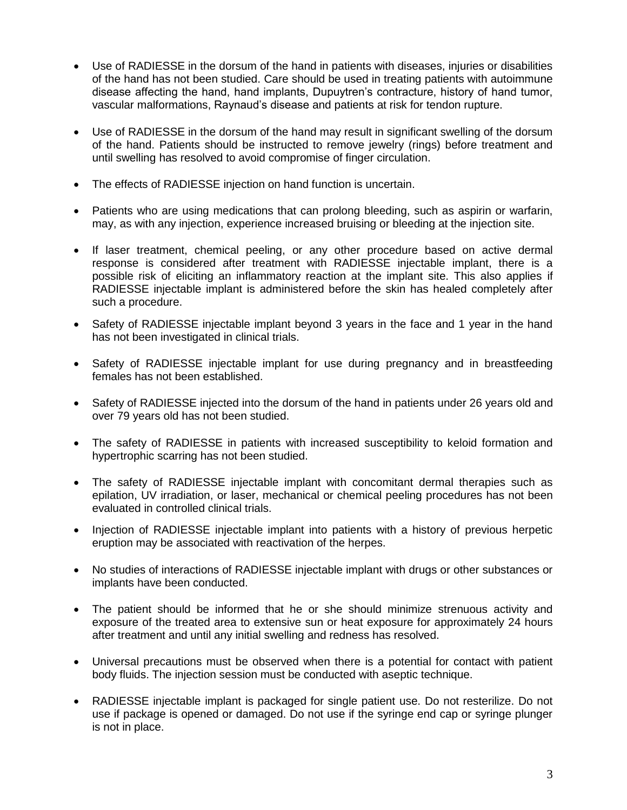- Use of RADIESSE in the dorsum of the hand in patients with diseases, injuries or disabilities of the hand has not been studied. Care should be used in treating patients with autoimmune disease affecting the hand, hand implants, Dupuytren's contracture, history of hand tumor, vascular malformations, Raynaud's disease and patients at risk for tendon rupture.
- Use of RADIESSE in the dorsum of the hand may result in significant swelling of the dorsum of the hand. Patients should be instructed to remove jewelry (rings) before treatment and until swelling has resolved to avoid compromise of finger circulation.
- The effects of RADIESSE injection on hand function is uncertain.
- Patients who are using medications that can prolong bleeding, such as aspirin or warfarin, may, as with any injection, experience increased bruising or bleeding at the injection site.
- If laser treatment, chemical peeling, or any other procedure based on active dermal response is considered after treatment with RADIESSE injectable implant, there is a possible risk of eliciting an inflammatory reaction at the implant site. This also applies if RADIESSE injectable implant is administered before the skin has healed completely after such a procedure.
- Safety of RADIESSE injectable implant beyond 3 years in the face and 1 year in the hand has not been investigated in clinical trials.
- Safety of RADIESSE injectable implant for use during pregnancy and in breastfeeding females has not been established.
- Safety of RADIESSE injected into the dorsum of the hand in patients under 26 years old and over 79 years old has not been studied.
- The safety of RADIESSE in patients with increased susceptibility to keloid formation and hypertrophic scarring has not been studied.
- The safety of RADIESSE injectable implant with concomitant dermal therapies such as epilation, UV irradiation, or laser, mechanical or chemical peeling procedures has not been evaluated in controlled clinical trials.
- Injection of RADIESSE injectable implant into patients with a history of previous herpetic eruption may be associated with reactivation of the herpes.
- No studies of interactions of RADIESSE injectable implant with drugs or other substances or implants have been conducted.
- The patient should be informed that he or she should minimize strenuous activity and exposure of the treated area to extensive sun or heat exposure for approximately 24 hours after treatment and until any initial swelling and redness has resolved.
- Universal precautions must be observed when there is a potential for contact with patient body fluids. The injection session must be conducted with aseptic technique.
- RADIESSE injectable implant is packaged for single patient use. Do not resterilize. Do not use if package is opened or damaged. Do not use if the syringe end cap or syringe plunger is not in place.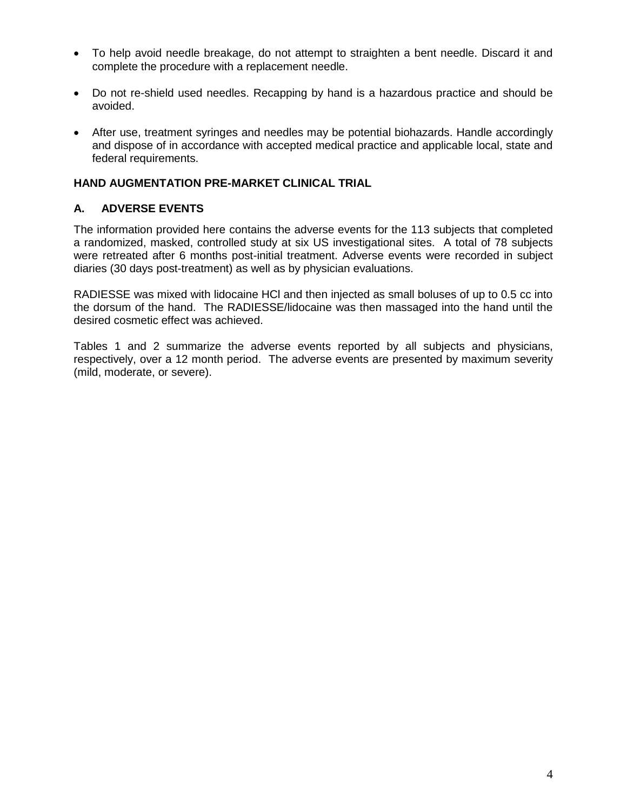- To help avoid needle breakage, do not attempt to straighten a bent needle. Discard it and complete the procedure with a replacement needle.
- Do not re-shield used needles. Recapping by hand is a hazardous practice and should be avoided.
- After use, treatment syringes and needles may be potential biohazards. Handle accordingly and dispose of in accordance with accepted medical practice and applicable local, state and federal requirements.

# **HAND AUGMENTATION PRE-MARKET CLINICAL TRIAL**

# **A. ADVERSE EVENTS**

The information provided here contains the adverse events for the 113 subjects that completed a randomized, masked, controlled study at six US investigational sites. A total of 78 subjects were retreated after 6 months post-initial treatment. Adverse events were recorded in subject diaries (30 days post-treatment) as well as by physician evaluations.

RADIESSE was mixed with lidocaine HCl and then injected as small boluses of up to 0.5 cc into the dorsum of the hand. The RADIESSE/lidocaine was then massaged into the hand until the desired cosmetic effect was achieved.

Tables 1 and 2 summarize the adverse events reported by all subjects and physicians, respectively, over a 12 month period. The adverse events are presented by maximum severity (mild, moderate, or severe).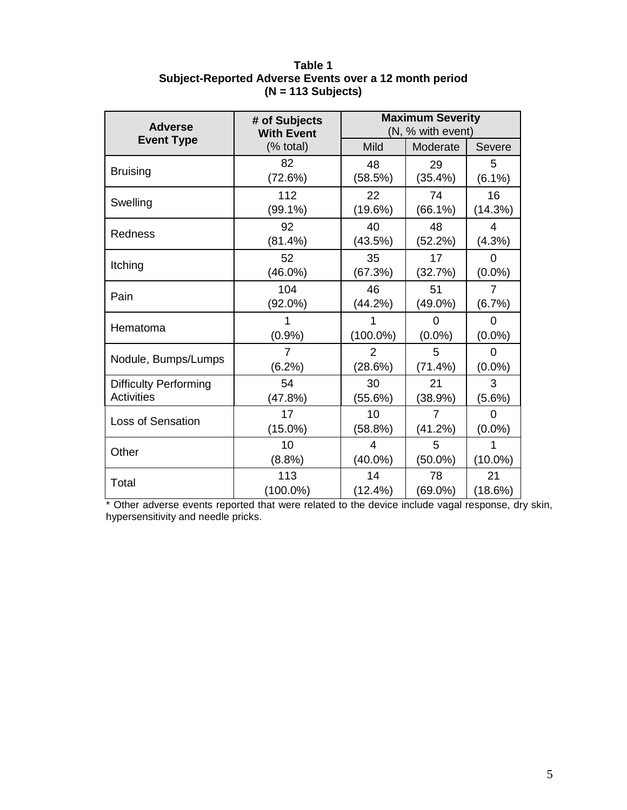| Table 1                                                |
|--------------------------------------------------------|
| Subject-Reported Adverse Events over a 12 month period |
| $(N = 113$ Subjects)                                   |

| <b>Adverse</b>               | # of Subjects<br><b>With Event</b> | <b>Maximum Severity</b><br>(N, % with event) |            |                |  |
|------------------------------|------------------------------------|----------------------------------------------|------------|----------------|--|
| <b>Event Type</b>            | (% total)                          | <b>Mild</b>                                  | Moderate   | Severe         |  |
| <b>Bruising</b>              | 82                                 | 48                                           | 29         | 5              |  |
|                              | (72.6%)                            | (58.5%)                                      | (35.4%)    | $(6.1\%)$      |  |
| Swelling                     | 112                                | 22                                           | 74         | 16             |  |
|                              | $(99.1\%)$                         | (19.6%)                                      | $(66.1\%)$ | (14.3%)        |  |
| Redness                      | 92                                 | 40                                           | 48         | $\overline{4}$ |  |
|                              | (81.4%)                            | (43.5%)                                      | (52.2%)    | (4.3%)         |  |
|                              | 52                                 | 35                                           | 17         | 0              |  |
| Itching                      | $(46.0\%)$                         | (67.3%)                                      | (32.7%)    | $(0.0\%)$      |  |
| Pain                         | 104                                | 46                                           | 51         | $\overline{7}$ |  |
|                              | $(92.0\%)$                         | (44.2%)                                      | $(49.0\%)$ | (6.7%)         |  |
| Hematoma                     |                                    | 1                                            | 0          | 0              |  |
|                              | (0.9%                              | $(100.0\%)$                                  | $(0.0\%)$  | $(0.0\%)$      |  |
|                              | 7                                  | 2                                            | 5          | $\Omega$       |  |
| Nodule, Bumps/Lumps          | (6.2%)                             | (28.6%)                                      | (71.4%)    | $(0.0\%)$      |  |
| <b>Difficulty Performing</b> | 54                                 | 30                                           | 21         | 3              |  |
| <b>Activities</b>            | (47.8%)                            | (55.6%)                                      | (38.9%)    | (5.6%)         |  |
| <b>Loss of Sensation</b>     | 17                                 | 10                                           | 7          | 0              |  |
|                              | $(15.0\%)$                         | (58.8%)                                      | (41.2%)    | $(0.0\%)$      |  |
| Other                        | 10                                 | 4                                            | 5          | 1              |  |
|                              | (8.8%)                             | $(40.0\%)$                                   | $(50.0\%)$ | $(10.0\%)$     |  |
| Total                        | 113                                | 14                                           | 78         | 21             |  |
|                              | $(100.0\%)$                        | $(12.4\%)$                                   | $(69.0\%)$ | (18.6%)        |  |

\* Other adverse events reported that were related to the device include vagal response, dry skin, hypersensitivity and needle pricks.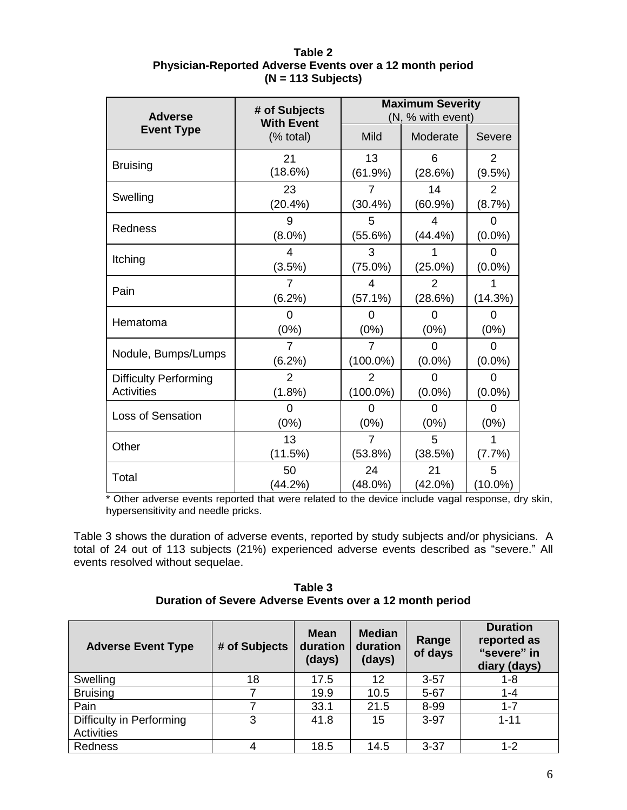| <b>Adverse</b>               | # of Subjects<br><b>With Event</b> | <b>Maximum Severity</b><br>(N, % with event) |              |                |  |
|------------------------------|------------------------------------|----------------------------------------------|--------------|----------------|--|
| <b>Event Type</b>            | (% total)                          | Mild                                         | Moderate     | Severe         |  |
| <b>Bruising</b>              | 21                                 | 13                                           | 6            | $\overline{2}$ |  |
|                              | (18.6%)                            | (61.9%)                                      | (28.6%)      | (9.5%)         |  |
| Swelling                     | 23<br>(20.4%                       | $(30.4\%)$                                   | 14<br>(60.9% | 2<br>(8.7%)    |  |
| Redness                      | 9                                  | 5                                            | 4            | O              |  |
|                              | $(8.0\%)$                          | (55.6%)                                      | (44.4%)      | $(0.0\%)$      |  |
| Itching                      | 4<br>(3.5%)                        | 3<br>$(75.0\%)$                              | $(25.0\%)$   | O<br>$(0.0\%)$ |  |
| Pain                         | (6.2%)                             | 4<br>(57.1%)                                 | 2<br>(28.6%) | (14.3%)        |  |
| Hematoma                     | 0                                  | 0                                            | 0            | 0              |  |
|                              | $(0\%)$                            | $(0\%)$                                      | (0%)         | $(0\%)$        |  |
| Nodule, Bumps/Lumps          | $\overline{7}$                     | 7                                            | $\Omega$     | 0              |  |
|                              | $(6.2\%)$                          | $(100.0\%)$                                  | $(0.0\%)$    | $(0.0\%)$      |  |
| <b>Difficulty Performing</b> | 2                                  | 2                                            | 0            | $\Omega$       |  |
| <b>Activities</b>            | (1.8%)                             | $(100.0\%)$                                  | $(0.0\%)$    | $(0.0\%)$      |  |
| <b>Loss of Sensation</b>     | 0                                  | 0                                            | 0            | $\Omega$       |  |
|                              | (0%)                               | $(0\%)$                                      | (0%)         | $(0\%)$        |  |
| Other                        | 13                                 | $\overline{7}$                               | 5            | 1              |  |
|                              | (11.5%)                            | (53.8%)                                      | (38.5%)      | (7.7%)         |  |
| Total                        | 50                                 | 24                                           | 21           | 5              |  |
|                              | (44.2%)                            | (48.0%)                                      | $(42.0\%)$   | $(10.0\%)$     |  |

**Table 2 Physician-Reported Adverse Events over a 12 month period (N = 113 Subjects)**

Other adverse events reported that were related to the device include vagal response, dry skin, hypersensitivity and needle pricks.

Table 3 shows the duration of adverse events, reported by study subjects and/or physicians. A total of 24 out of 113 subjects (21%) experienced adverse events described as "severe." All events resolved without sequelae.

**Table 3 Duration of Severe Adverse Events over a 12 month period**

| <b>Adverse Event Type</b> | # of Subjects | <b>Mean</b><br>duration<br>(days) | <b>Median</b><br>duration<br>(days) | Range<br>of days | <b>Duration</b><br>reported as<br>"severe" in<br>diary (days) |
|---------------------------|---------------|-----------------------------------|-------------------------------------|------------------|---------------------------------------------------------------|
| Swelling                  | 18            | 17.5                              | 12                                  | $3 - 57$         | 1-8                                                           |
| <b>Bruising</b>           |               | 19.9                              | 10.5                                | $5 - 67$         | $1 - 4$                                                       |
| Pain                      |               | 33.1                              | 21.5                                | 8-99             | $1 - 7$                                                       |
| Difficulty in Performing  | 3             | 41.8                              | 15                                  | $3-97$           | $1 - 11$                                                      |
| <b>Activities</b>         |               |                                   |                                     |                  |                                                               |
| Redness                   |               | 18.5                              | 14.5                                | $3 - 37$         | $1 - 2$                                                       |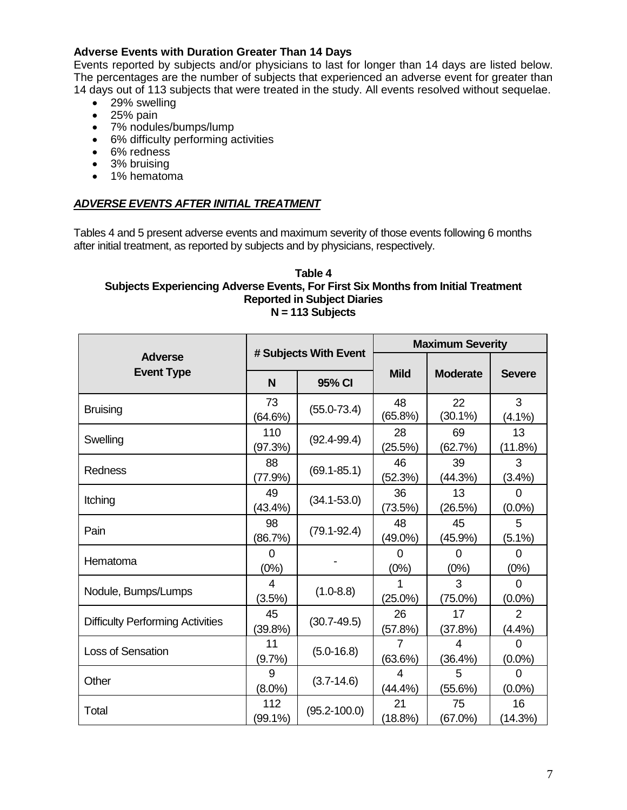# **Adverse Events with Duration Greater Than 14 Days**

Events reported by subjects and/or physicians to last for longer than 14 days are listed below. The percentages are the number of subjects that experienced an adverse event for greater than 14 days out of 113 subjects that were treated in the study. All events resolved without sequelae.

- 29% swelling
- $\bullet$  25% pain
- 7% nodules/bumps/lump
- 6% difficulty performing activities
- 6% redness
- 3% bruising
- 1% hematoma

### *ADVERSE EVENTS AFTER INITIAL TREATMENT*

Tables 4 and 5 present adverse events and maximum severity of those events following 6 months after initial treatment, as reported by subjects and by physicians, respectively.

#### **Table 4 Subjects Experiencing Adverse Events, For First Six Months from Initial Treatment Reported in Subject Diaries N = 113 Subjects**

|                                         |                  |                       | <b>Maximum Severity</b> |                  |                       |  |
|-----------------------------------------|------------------|-----------------------|-------------------------|------------------|-----------------------|--|
| <b>Adverse</b>                          |                  | # Subjects With Event |                         |                  |                       |  |
| <b>Event Type</b>                       | N                | 95% CI                | <b>Mild</b>             | <b>Moderate</b>  | <b>Severe</b>         |  |
| <b>Bruising</b>                         | 73<br>(64.6%)    | $(55.0 - 73.4)$       | 48<br>(65.8%)           | 22<br>$(30.1\%)$ | 3<br>$(4.1\%)$        |  |
| Swelling                                | 110<br>(97.3%)   | $(92.4 - 99.4)$       | 28<br>(25.5%)           | 69<br>(62.7%)    | 13<br>(11.8%)         |  |
| Redness                                 | 88<br>$(77.9\%)$ | $(69.1 - 85.1)$       | 46<br>(52.3%)           | 39<br>(44.3%)    | 3<br>(3.4%)           |  |
| Itching                                 | 49<br>$(43.4\%)$ | $(34.1 - 53.0)$       | 36<br>(73.5%)           | 13<br>(26.5%)    | $\Omega$<br>$(0.0\%)$ |  |
| Pain                                    | 98<br>(86.7%)    | $(79.1 - 92.4)$       | 48<br>(49.0%)           | 45<br>(45.9%)    | 5<br>$(5.1\%)$        |  |
| Hematoma                                | $\Omega$<br>(0%) |                       | 0<br>(0%)               | $\Omega$<br>(0%) | $\Omega$<br>(0%)      |  |
| Nodule, Bumps/Lumps                     | 4<br>(3.5%)      | $(1.0 - 8.8)$         | 1<br>$(25.0\%)$         | 3<br>$(75.0\%)$  | $\Omega$<br>$(0.0\%)$ |  |
| <b>Difficulty Performing Activities</b> | 45<br>(39.8%)    | $(30.7 - 49.5)$       | 26<br>(57.8%)           | 17<br>(37.8%)    | 2<br>(4.4%)           |  |
| <b>Loss of Sensation</b>                | 11<br>(9.7%)     | $(5.0 - 16.8)$        | (63.6%)                 | 4<br>(36.4%)     | 0<br>$(0.0\%)$        |  |
| Other                                   | 9<br>$(8.0\%)$   | $(3.7 - 14.6)$        | 4<br>$(44.4\%)$         | 5<br>(55.6%)     | 0<br>$(0.0\%)$        |  |
| Total                                   | 112<br>(99.1%)   | $(95.2 - 100.0)$      | 21<br>(18.8%)           | 75<br>(67.0%)    | 16<br>(14.3%)         |  |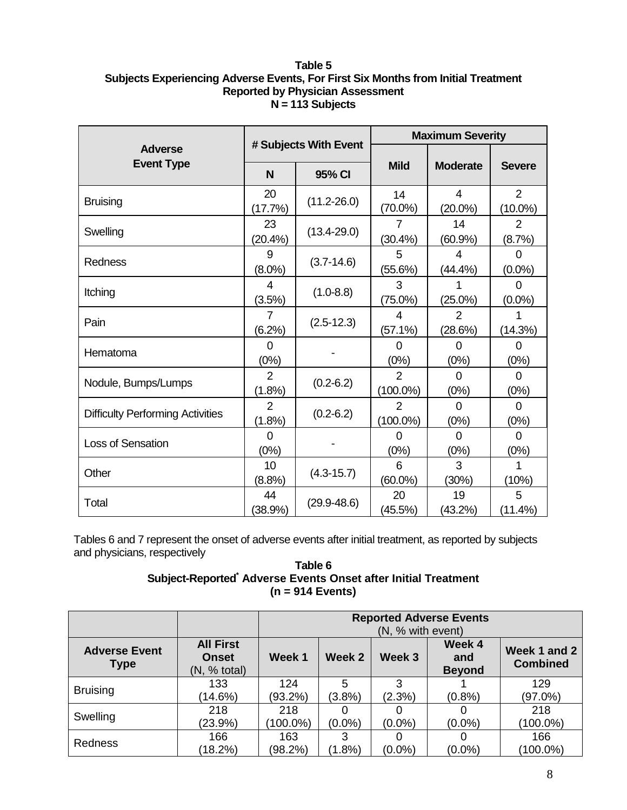### **Table 5 Subjects Experiencing Adverse Events, For First Six Months from Initial Treatment Reported by Physician Assessment N = 113 Subjects**

|                                         |                          |                       | <b>Maximum Severity</b>       |                          |                              |  |
|-----------------------------------------|--------------------------|-----------------------|-------------------------------|--------------------------|------------------------------|--|
| <b>Adverse</b>                          |                          | # Subjects With Event |                               |                          |                              |  |
| <b>Event Type</b>                       | N                        | 95% CI                | <b>Mild</b>                   | <b>Moderate</b>          | <b>Severe</b>                |  |
| <b>Bruising</b>                         | 20<br>(17.7%)            | $(11.2 - 26.0)$       | 14<br>$(70.0\%)$              | 4<br>$(20.0\%)$          | $\overline{2}$<br>$(10.0\%)$ |  |
| Swelling                                | 23<br>(20.4%             | $(13.4 - 29.0)$       | 7<br>$(30.4\%)$               | 14<br>(60.9%)            | $\overline{2}$<br>(8.7%)     |  |
| Redness                                 | 9<br>$(8.0\%)$           | $(3.7 - 14.6)$        | 5<br>(55.6%)                  | 4<br>$(44.4\%)$          | 0<br>$(0.0\%)$               |  |
| Itching                                 | 4<br>(3.5%)              | $(1.0 - 8.8)$         | 3<br>$(75.0\%)$               | $(25.0\%)$               | $\Omega$<br>$(0.0\%)$        |  |
| Pain                                    | 7<br>(6.2%)              | $(2.5-12.3)$          | 4<br>(57.1%)                  | $\mathcal{P}$<br>(28.6%) | (14.3%)                      |  |
| Hematoma                                | $\Omega$<br>(0%)         |                       | 0<br>(0%)                     | $\Omega$<br>(0%)         | $\Omega$<br>(0%)             |  |
| Nodule, Bumps/Lumps                     | 2<br>(1.8%)              | $(0.2 - 6.2)$         | $\overline{2}$<br>$(100.0\%)$ | $\Omega$<br>(0%)         | 0<br>(0%)                    |  |
| <b>Difficulty Performing Activities</b> | $\overline{2}$<br>(1.8%) | $(0.2 - 6.2)$         | 2<br>$(100.0\%)$              | $\Omega$<br>(0%)         | $\Omega$<br>(0%)             |  |
| <b>Loss of Sensation</b>                | 0<br>(0%)                |                       | O<br>(0%)                     | <sup>0</sup><br>(0%)     | $\Omega$<br>(0%)             |  |
| Other                                   | 10<br>(8.8%)             | $(4.3 - 15.7)$        | 6<br>$(60.0\%)$               | 3<br>(30%)               | (10%)                        |  |
| Total                                   | 44<br>(38.9%)            | $(29.9 - 48.6)$       | 20<br>(45.5%)                 | 19<br>(43.2%)            | 5<br>(11.4%)                 |  |

Tables 6 and 7 represent the onset of adverse events after initial treatment, as reported by subjects and physicians, respectively

### **Table 6 Subject-Reported\* Adverse Events Onset after Initial Treatment (n = 914 Events)**

|                                     |                                                  |                    | <b>Reported Adverse Events</b><br>(N, % with event) |             |                                |                                 |  |  |
|-------------------------------------|--------------------------------------------------|--------------------|-----------------------------------------------------|-------------|--------------------------------|---------------------------------|--|--|
| <b>Adverse Event</b><br><b>Type</b> | <b>All First</b><br><b>Onset</b><br>(N, % total) | Week 1             | Week 2                                              | Week 3      | Week 4<br>and<br><b>Beyond</b> | Week 1 and 2<br><b>Combined</b> |  |  |
| <b>Bruising</b>                     | 133<br>(14.6%)                                   | 124<br>$(93.2\%)$  | 5<br>$(3.8\%)$                                      | 3<br>(2.3%) | (0.8%                          | 129<br>$(97.0\%)$               |  |  |
| Swelling                            | 218<br>(23.9%)                                   | 218<br>$(100.0\%)$ | $(0.0\%)$                                           | $(0.0\%)$   | $(0.0\%)$                      | 218<br>$(100.0\%)$              |  |  |
| Redness                             | 166<br>(18.2%)                                   | 163<br>$(98.2\%)$  | 3<br>$(1.8\%)$                                      | $(0.0\%)$   | $(0.0\%)$                      | 166<br>$(100.0\%)$              |  |  |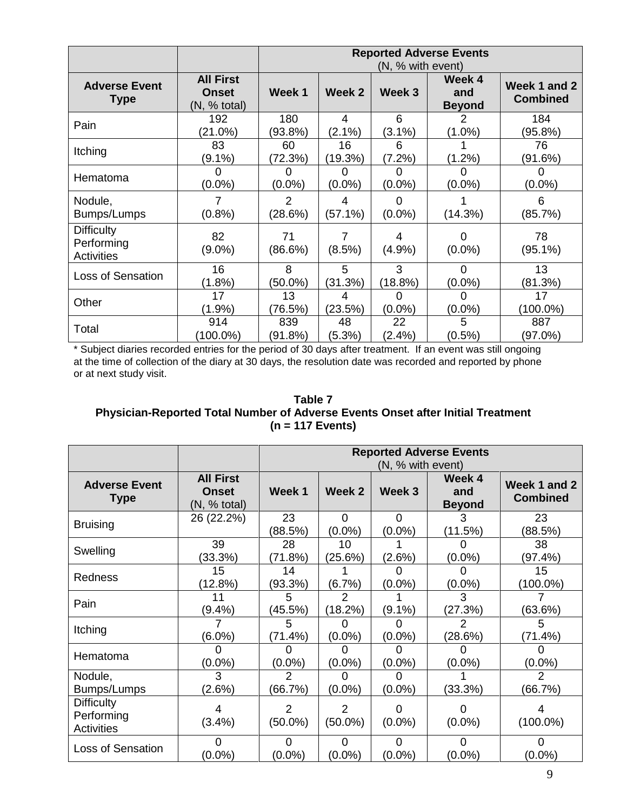|                                                      |                                                  |                           | <b>Reported Adverse Events</b><br>(N, % with event) |                |                                |                                 |  |
|------------------------------------------------------|--------------------------------------------------|---------------------------|-----------------------------------------------------|----------------|--------------------------------|---------------------------------|--|
| <b>Adverse Event</b><br><b>Type</b>                  | <b>All First</b><br><b>Onset</b><br>(N, % total) | Week 1                    | Week 2                                              | Week 3         | Week 4<br>and<br><b>Beyond</b> | Week 1 and 2<br><b>Combined</b> |  |
| Pain                                                 | 192<br>(21.0%)                                   | 180<br>(93.8%)            | 4<br>$(2.1\%)$                                      | 6<br>$(3.1\%)$ | 2<br>$(1.0\%)$                 | 184<br>(95.8%)                  |  |
| Itching                                              | 83<br>$(9.1\%)$                                  | 60<br>(72.3%)             | 16<br>(19.3%)                                       | 6<br>(7.2%)    | $(1.2\%)$                      | 76<br>(91.6%)                   |  |
| Hematoma                                             | $(0.0\%)$                                        | O<br>$(0.0\%)$            | 0<br>$(0.0\%)$                                      | O<br>$(0.0\%)$ | O<br>$(0.0\%)$                 | O<br>$(0.0\%)$                  |  |
| Nodule,<br>Bumps/Lumps                               | (0.8%                                            | $\overline{2}$<br>(28.6%) | 4<br>(57.1%)                                        | 0<br>$(0.0\%)$ | (14.3%)                        | 6<br>(85.7%)                    |  |
| <b>Difficulty</b><br>Performing<br><b>Activities</b> | 82<br>$(9.0\%)$                                  | 71<br>(86.6%)             | 7<br>(8.5%)                                         | 4<br>(4.9%     | 0<br>$(0.0\%)$                 | 78<br>$(95.1\%)$                |  |
| Loss of Sensation                                    | 16<br>$(1.8\%)$                                  | 8<br>$(50.0\%)$           | 5<br>(31.3%)                                        | 3<br>(18.8%)   | $\Omega$<br>$(0.0\%)$          | 13<br>(81.3%)                   |  |
| Other                                                | 17<br>$(1.9\%)$                                  | 13<br>(76.5%)             | 4<br>(23.5%)                                        | 0<br>$(0.0\%)$ | 0<br>$(0.0\%)$                 | 17<br>$(100.0\%)$               |  |
| Total                                                | 914<br>(100.0%)                                  | 839<br>(91.8%)            | 48<br>(5.3%)                                        | 22<br>(2.4%)   | 5<br>$(0.5\%)$                 | 887<br>(97.0%)                  |  |

\* Subject diaries recorded entries for the period of 30 days after treatment. If an event was still ongoing at the time of collection of the diary at 30 days, the resolution date was recorded and reported by phone or at next study visit.

# **Table 7 Physician-Reported Total Number of Adverse Events Onset after Initial Treatment (n = 117 Events)**

|                                               |                                                  |                           | <b>Reported Adverse Events</b><br>(N, % with event) |                       |                                |                                 |  |
|-----------------------------------------------|--------------------------------------------------|---------------------------|-----------------------------------------------------|-----------------------|--------------------------------|---------------------------------|--|
| <b>Adverse Event</b><br><b>Type</b>           | <b>All First</b><br><b>Onset</b><br>(N, % total) | Week 1                    | Week 2                                              | Week 3                | Week 4<br>and<br><b>Beyond</b> | Week 1 and 2<br><b>Combined</b> |  |
| <b>Bruising</b>                               | 26 (22.2%)                                       | 23<br>(88.5%)             | $\Omega$<br>$(0.0\%)$                               | $\Omega$<br>$(0.0\%)$ | 3<br>(11.5%)                   | 23<br>(88.5%)                   |  |
| Swelling                                      | 39<br>(33.3%)                                    | 28<br>(71.8%)             | 10<br>(25.6%)                                       | (2.6%)                | $(0.0\%)$                      | 38<br>(97.4%)                   |  |
| Redness                                       | 15<br>(12.8%)                                    | 14<br>(93.3%)             | (6.7%)                                              | 0<br>$(0.0\%)$        | 0<br>$(0.0\%)$                 | 15<br>$(100.0\%)$               |  |
| Pain                                          | 11<br>$(9.4\%)$                                  | 5<br>(45.5%)              | $\overline{2}$<br>(18.2%)                           | $(9.1\%)$             | 3<br>(27.3%)                   | (63.6%)                         |  |
| Itching                                       | $(6.0\%)$                                        | 5<br>(71.4%)              | O<br>$(0.0\%)$                                      | $(0.0\%)$             | 2<br>(28.6%)                   | 5<br>(71.4%)                    |  |
| Hematoma                                      | $(0.0\%)$                                        | $(0.0\%)$                 | O<br>$(0.0\%)$                                      | $(0.0\%)$             | $(0.0\%)$                      | $(0.0\%)$                       |  |
| Nodule,<br>Bumps/Lumps                        | 3<br>(2.6%)                                      | $\overline{2}$<br>(66.7%) | O<br>$(0.0\%)$                                      | $(0.0\%)$             | (33.3%)                        | $\mathcal{P}$<br>(66.7%)        |  |
| <b>Difficulty</b><br>Performing<br>Activities | 4<br>(3.4%)                                      | 2<br>$(50.0\%)$           | 2<br>$(50.0\%)$                                     | O<br>$(0.0\%)$        | O<br>$(0.0\%)$                 | 4<br>$(100.0\%)$                |  |
| Loss of Sensation                             | 0<br>$(0.0\%)$                                   | 0<br>$(0.0\%)$            | $\Omega$<br>$(0.0\%)$                               | $\Omega$<br>$(0.0\%)$ | 0<br>$(0.0\%)$                 | 0<br>$(0.0\%)$                  |  |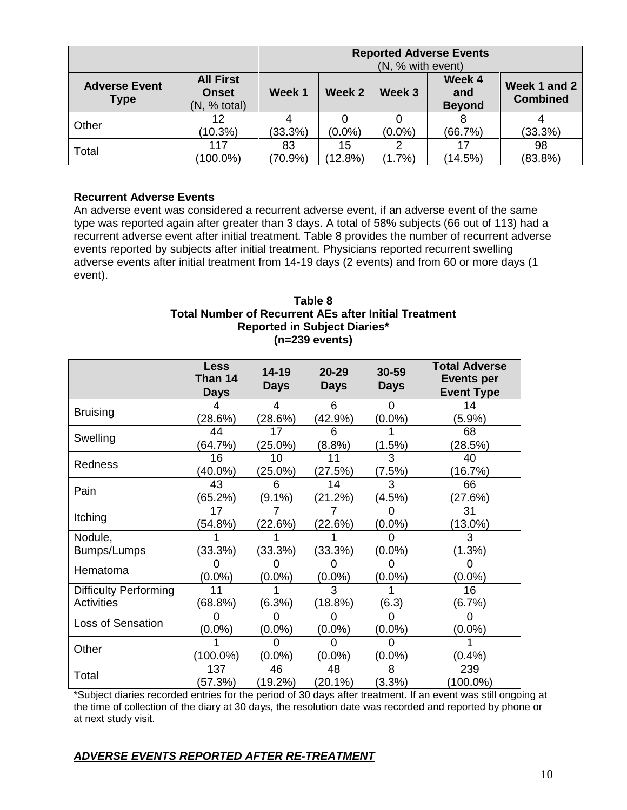|                                     |                                                  |                  | <b>Reported Adverse Events</b><br>(N, % with event) |           |                                |                                 |  |  |
|-------------------------------------|--------------------------------------------------|------------------|-----------------------------------------------------|-----------|--------------------------------|---------------------------------|--|--|
| <b>Adverse Event</b><br><b>Type</b> | <b>All First</b><br><b>Onset</b><br>(N, % total) | Week 1           | Week 2                                              | Week 3    | Week 4<br>and<br><b>Beyond</b> | Week 1 and 2<br><b>Combined</b> |  |  |
| Other                               | 12<br>(10.3%)                                    | $(33.3\%)$       | $(0.0\%)$                                           | $(0.0\%)$ | (66.7%)                        | (33.3%)                         |  |  |
| Total                               | 117<br>$(100.0\%)$                               | 83<br>$(70.9\%)$ | 15<br>(12.8%)                                       | $(1.7\%)$ | 17<br>(14.5%)                  | 98<br>(83.8%)                   |  |  |

# **Recurrent Adverse Events**

An adverse event was considered a recurrent adverse event, if an adverse event of the same type was reported again after greater than 3 days. A total of 58% subjects (66 out of 113) had a recurrent adverse event after initial treatment. Table 8 provides the number of recurrent adverse events reported by subjects after initial treatment. Physicians reported recurrent swelling adverse events after initial treatment from 14-19 days (2 events) and from 60 or more days (1 event).

### **Table 8 Total Number of Recurrent AEs after Initial Treatment Reported in Subject Diaries\* (n=239 events)**

|                              | <b>Less</b><br>Than 14<br><b>Days</b> | $14 - 19$<br><b>Days</b> | $20 - 29$<br><b>Days</b> | 30-59<br><b>Days</b> | <b>Total Adverse</b><br><b>Events per</b><br><b>Event Type</b> |
|------------------------------|---------------------------------------|--------------------------|--------------------------|----------------------|----------------------------------------------------------------|
| <b>Bruising</b>              |                                       | 4                        | 6                        | 0                    | 14                                                             |
|                              | (28.6%)                               | (28.6%)                  | $(42.9\%)$               | $(0.0\%)$            | $(5.9\%)$                                                      |
| Swelling                     | 44                                    | 17                       | 6                        |                      | 68                                                             |
|                              | (64.7%)                               | $(25.0\%)$               | (8.8%)                   | (1.5%)               | (28.5%)                                                        |
| <b>Redness</b>               | 16                                    | 10                       | 11                       | 3                    | 40                                                             |
|                              | $(40.0\%)$                            | $(25.0\%)$               | (27.5%)                  | (7.5%)               | (16.7%)                                                        |
| Pain                         | 43                                    | 6                        | 14                       | 3                    | 66                                                             |
|                              | (65.2%)                               | $(9.1\%)$                | (21.2%)                  | $(4.5\%)$            | (27.6%)                                                        |
| Itching                      | 17                                    |                          |                          |                      | 31                                                             |
|                              | (54.8%)                               | (22.6%)                  | (22.6%)                  | $(0.0\%)$            | $(13.0\%)$                                                     |
| Nodule,                      |                                       |                          |                          |                      | 3                                                              |
| Bumps/Lumps                  | (33.3%)                               | (33.3%)                  | (33.3%)                  | $(0.0\%)$            | (1.3%)                                                         |
| Hematoma                     |                                       |                          |                          |                      |                                                                |
|                              | $(0.0\%)$                             | $(0.0\%)$                | $(0.0\%)$                | $(0.0\%)$            | $(0.0\%)$                                                      |
| <b>Difficulty Performing</b> | 11                                    |                          | 3                        |                      | 16                                                             |
| <b>Activities</b>            | (68.8%)                               | (6.3%)                   | (18.8%)                  | (6.3)                | (6.7%)                                                         |
| <b>Loss of Sensation</b>     |                                       |                          |                          |                      |                                                                |
|                              | $(0.0\%)$                             | $(0.0\%)$                | $(0.0\%)$                | $(0.0\%)$            | $(0.0\%)$                                                      |
| Other                        |                                       |                          | O                        |                      |                                                                |
|                              | $(100.0\%)$                           | $(0.0\%)$                | $(0.0\%)$                | $(0.0\%)$            | (0.4% )                                                        |
| Total                        | 137                                   | 46                       | 48                       | 8                    | 239                                                            |
|                              | (57.3%)                               | $(19.2\%)$               | $(20.1\%)$               | (3.3%)               | $(100.0\%)$                                                    |

\*Subject diaries recorded entries for the period of 30 days after treatment. If an event was still ongoing at the time of collection of the diary at 30 days, the resolution date was recorded and reported by phone or at next study visit.

# *ADVERSE EVENTS REPORTED AFTER RE-TREATMENT*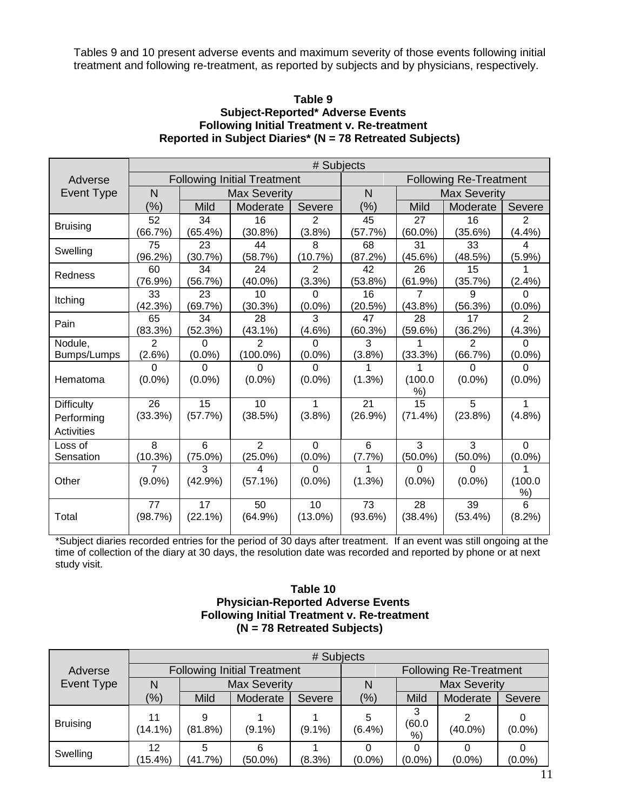Tables 9 and 10 present adverse events and maximum severity of those events following initial treatment and following re-treatment, as reported by subjects and by physicians, respectively.

#### **Table 9 Subject-Reported\* Adverse Events Following Initial Treatment v. Re-treatment Reported in Subject Diaries\* (N = 78 Retreated Subjects)**

|                   | # Subjects   |                                    |                     |                |         |             |                               |                |
|-------------------|--------------|------------------------------------|---------------------|----------------|---------|-------------|-------------------------------|----------------|
| Adverse           |              | <b>Following Initial Treatment</b> |                     |                |         |             | <b>Following Re-Treatment</b> |                |
| Event Type        | $\mathsf{N}$ |                                    | <b>Max Severity</b> |                | N       |             | <b>Max Severity</b>           |                |
|                   | $(\%)$       | <b>Mild</b>                        | Moderate            | Severe         | $(\%)$  | <b>Mild</b> | Moderate                      | Severe         |
| <b>Bruising</b>   | 52           | 34                                 | 16                  | $\overline{2}$ | 45      | 27          | 16                            | $\overline{2}$ |
|                   | (66.7%)      | $(65.4\%)$                         | $(30.8\%)$          | (3.8%)         | (57.7%) | $(60.0\%)$  | (35.6%)                       | (4.4%)         |
| Swelling          | 75           | 23                                 | 44                  | 8              | 68      | 31          | 33                            | 4              |
|                   | $(96.2\%)$   | (30.7%)                            | (58.7%)             | (10.7%)        | (87.2%) | (45.6%)     | (48.5%)                       | $(5.9\%)$      |
| Redness           | 60           | 34                                 | 24                  | $\overline{2}$ | 42      | 26          | 15                            |                |
|                   | (76.9%)      | (56.7%)                            | $(40.0\%)$          | (3.3%)         | (53.8%) | (61.9%)     | (35.7%)                       | (2.4%)         |
| Itching           | 33           | 23                                 | 10                  | 0              | 16      |             | 9                             | 0              |
|                   | (42.3%)      | (69.7%)                            | (30.3%)             | $(0.0\%)$      | (20.5%) | $(43.8\%)$  | (56.3%)                       | $(0.0\%)$      |
| Pain              | 65           | 34                                 | 28                  | 3              | 47      | 28          | 17                            | 2              |
|                   | (83.3%)      | (52.3%)                            | $(43.1\%)$          | $(4.6\%)$      | (60.3%) | (59.6%)     | (36.2%)                       | (4.3%)         |
| Nodule,           | $\mathbf{2}$ | 0                                  | 2                   | $\Omega$       | 3       |             | $\mathbf{2}$                  | 0              |
| Bumps/Lumps       | (2.6%)       | $(0.0\%)$                          | $(100.0\%)$         | $(0.0\%)$      | (3.8%)  | (33.3%)     | (66.7%)                       | $(0.0\%)$      |
|                   | $\Omega$     | 0                                  | 0                   | $\Omega$       |         |             | $\Omega$                      | $\Omega$       |
| Hematoma          | $(0.0\%)$    | $(0.0\%)$                          | $(0.0\%)$           | $(0.0\%)$      | (1.3%)  | (100.0)     | $(0.0\%)$                     | $(0.0\%)$      |
|                   |              |                                    |                     |                |         | %)          |                               |                |
| <b>Difficulty</b> | 26           | 15                                 | 10                  | 1              | 21      | 15          | 5                             | 1              |
| Performing        | (33.3%)      | (57.7%)                            | (38.5%)             | (3.8%)         | (26.9%) | $(71.4\%)$  | (23.8%)                       | (4.8%)         |
| <b>Activities</b> |              |                                    |                     |                |         |             |                               |                |
| Loss of           | 8            | 6                                  | 2                   | $\Omega$       | 6       | 3           | 3                             | $\Omega$       |
| Sensation         | (10.3%)      | $(75.0\%)$                         | $(25.0\%)$          | $(0.0\%)$      | (7.7%)  | $(50.0\%)$  | $(50.0\%)$                    | $(0.0\%)$      |
|                   | 7            | 3                                  | 4                   | $\Omega$       |         | 0           | 0                             |                |
| Other             | $(9.0\%)$    | (42.9%)                            | $(57.1\%)$          | $(0.0\%)$      | (1.3%)  | $(0.0\%)$   | $(0.0\%)$                     | (100.0)        |
|                   |              |                                    |                     |                |         |             |                               | %)             |
|                   | 77           | 17                                 | 50                  | 10             | 73      | 28          | 39                            | 6              |
| Total             | (98.7%)      | (22.1%)                            | (64.9%)             | $(13.0\%)$     | (93.6%) | $(38.4\%)$  | $(53.4\%)$                    | (8.2%)         |
|                   |              |                                    |                     |                |         |             |                               |                |

\*Subject diaries recorded entries for the period of 30 days after treatment. If an event was still ongoing at the time of collection of the diary at 30 days, the resolution date was recorded and reported by phone or at next study visit.

#### **Table 10 Physician-Reported Adverse Events Following Initial Treatment v. Re-treatment (N = 78 Retreated Subjects)**

|                 |                  | # Subjects   |                                    |           |                               |                   |                     |           |  |  |  |
|-----------------|------------------|--------------|------------------------------------|-----------|-------------------------------|-------------------|---------------------|-----------|--|--|--|
| Adverse         |                  |              | <b>Following Initial Treatment</b> |           | <b>Following Re-Treatment</b> |                   |                     |           |  |  |  |
| Event Type      |                  |              | <b>Max Severity</b>                |           |                               |                   | <b>Max Severity</b> |           |  |  |  |
|                 | (%)              | <b>Mild</b>  | Moderate                           | Severe    | (%)                           | Mild              | Moderate            | Severe    |  |  |  |
| <b>Bruising</b> | $(14.1\%)$       | (81.8%)      | $(9.1\%)$                          | $(9.1\%)$ | 5<br>(6.4%)                   | 3<br>(60.0)<br>%) | $(40.0\%)$          | $(0.0\%)$ |  |  |  |
| Swelling        | 12<br>$(15.4\%)$ | 5<br>(41.7%) | 6<br>$(50.0\%)$                    | (8.3%)    | $(0.0\%)$                     | $(0.0\%)$         | $(0.0\%)$           | $(0.0\%)$ |  |  |  |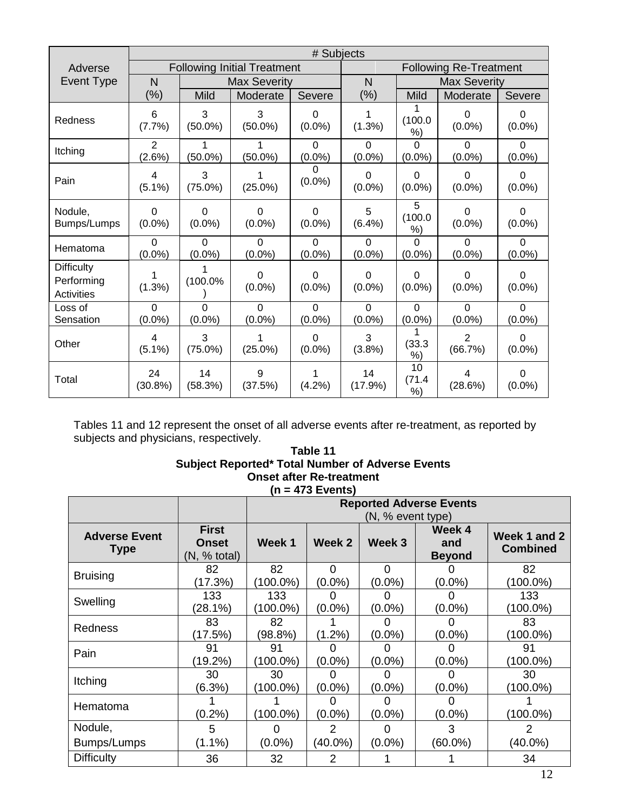|                                                      |                                      |                             |                                    |                          | # Subjects                    |                          |                             |                       |  |  |
|------------------------------------------------------|--------------------------------------|-----------------------------|------------------------------------|--------------------------|-------------------------------|--------------------------|-----------------------------|-----------------------|--|--|
| Adverse                                              |                                      |                             | <b>Following Initial Treatment</b> |                          | <b>Following Re-Treatment</b> |                          |                             |                       |  |  |
| Event Type                                           | N                                    |                             | <b>Max Severity</b>                |                          | N                             |                          | <b>Max Severity</b>         |                       |  |  |
|                                                      | $(\% )$                              | Mild                        | Moderate                           | Severe                   | $(\% )$                       | Mild                     | Moderate                    | Severe                |  |  |
| Redness                                              | 6<br>(7.7%)                          | 3<br>$(50.0\%)$             | 3<br>$(50.0\%)$                    | $\Omega$<br>$(0.0\%)$    | (1.3%)                        | 1<br>(100.0)<br>%)       | $\Omega$<br>$(0.0\%)$       | $\Omega$<br>$(0.0\%)$ |  |  |
| Itching                                              | $\overline{2}$<br>(2.6%)             | $(50.0\%)$                  | $(50.0\%)$                         | $\Omega$<br>$(0.0\%)$    | $\Omega$<br>$(0.0\%)$         | 0<br>$(0.0\%)$           | $\Omega$<br>$(0.0\%)$       | $\Omega$<br>$(0.0\%)$ |  |  |
| Pain                                                 | 4<br>$(5.1\%)$                       | 3<br>$(75.0\%)$             | $(25.0\%)$                         | $\Omega$<br>$(0.0\%)$    | $\Omega$<br>$(0.0\%)$         | $\Omega$<br>$(0.0\%)$    | $\Omega$<br>$(0.0\%)$       | $\Omega$<br>$(0.0\%)$ |  |  |
| Nodule,<br>Bumps/Lumps                               | 0<br>$(0.0\%)$                       | $\Omega$<br>$(0.0\%)$       | 0<br>$(0.0\%)$                     | $\Omega$<br>$(0.0\%)$    | 5<br>(6.4%)                   | 5<br>(100.0)<br>%)       | 0<br>$(0.0\%)$              | $\Omega$<br>$(0.0\%)$ |  |  |
| Hematoma                                             | $\Omega$<br>$(0.0\%)$                | $\Omega$<br>$(0.0\%)$       | $\Omega$<br>$(0.0\%)$              | $\Omega$<br>$(0.0\%)$    | $\Omega$<br>$(0.0\%)$         | $\Omega$<br>$(0.0\%)$    | $\overline{0}$<br>$(0.0\%)$ | $\Omega$<br>$(0.0\%)$ |  |  |
| <b>Difficulty</b><br>Performing<br><b>Activities</b> | (1.3%)                               | $(100.0\%$                  | 0<br>$(0.0\%)$                     | $\Omega$<br>$(0.0\%)$    | $\Omega$<br>$(0.0\%)$         | $\Omega$<br>$(0.0\%)$    | $\Omega$<br>$(0.0\%)$       | $\Omega$<br>$(0.0\%)$ |  |  |
| Loss of<br>Sensation                                 | $\Omega$<br>$(0.0\%)$                | $\overline{0}$<br>$(0.0\%)$ | 0<br>$(0.0\%)$                     | $\mathbf 0$<br>$(0.0\%)$ | $\overline{0}$<br>$(0.0\%)$   | $\mathbf 0$<br>$(0.0\%)$ | $\overline{0}$<br>$(0.0\%)$ | $\Omega$<br>$(0.0\%)$ |  |  |
| Other                                                | $\overline{\mathbf{4}}$<br>$(5.1\%)$ | 3<br>$(75.0\%)$             | 1<br>$(25.0\%)$                    | $\Omega$<br>$(0.0\%)$    | 3<br>(3.8%)                   | (33.3)<br>%)             | $\overline{2}$<br>(66.7%)   | $\Omega$<br>$(0.0\%)$ |  |  |
| Total                                                | 24<br>(30.8%)                        | 14<br>(58.3%)               | 9<br>(37.5%)                       | (4.2%)                   | 14<br>(17.9%)                 | 10<br>(71.4<br>$%$ )     | 4<br>(28.6%)                | $\Omega$<br>$(0.0\%)$ |  |  |

Tables 11 and 12 represent the onset of all adverse events after re-treatment, as reported by subjects and physicians, respectively.

#### **Table 11 Subject Reported\* Total Number of Adverse Events Onset after Re-treatment (n = 473 Events)**

|                                     |                                              | <b>Reported Adverse Events</b> |                       |                   |                                |                                 |  |  |
|-------------------------------------|----------------------------------------------|--------------------------------|-----------------------|-------------------|--------------------------------|---------------------------------|--|--|
|                                     |                                              |                                | (N, % event type)     |                   |                                |                                 |  |  |
| <b>Adverse Event</b><br><b>Type</b> | <b>First</b><br><b>Onset</b><br>(N, % total) | Week 1                         | Week 2                | Week <sub>3</sub> | Week 4<br>and<br><b>Beyond</b> | Week 1 and 2<br><b>Combined</b> |  |  |
| <b>Bruising</b>                     | 82<br>(17.3%)                                | 82<br>$(100.0\%)$              | $\Omega$<br>$(0.0\%)$ | 0<br>$(0.0\%)$    | $(0.0\%)$                      | 82<br>$(100.0\%)$               |  |  |
| Swelling                            | 133<br>(28.1%)                               | 133<br>$(100.0\%)$             | O<br>$(0.0\%)$        | O<br>$(0.0\%)$    | $(0.0\%)$                      | 133<br>(100.0%)                 |  |  |
| Redness                             | 83<br>(17.5%)                                | 82<br>$98.8\%$                 | $(1.2\%)$             | $(0.0\%)$         | (0.0%)                         | 83<br>$(100.0\%)$               |  |  |
| Pain                                | 91<br>$(19.2\%)$                             | 91<br>$(100.0\%)$              | $(0.0\%)$             | $(0.0\%)$         | $(0.0\%)$                      | 91<br>(100.0%)                  |  |  |
| Itching                             | 30<br>(6.3%)                                 | 30<br>$(100.0\%)$              | $(0.0\%)$             | $(0.0\%)$         | $(0.0\%)$                      | 30<br>$(100.0\%)$               |  |  |
| Hematoma                            | $(0.2\%)$                                    | $(100.0\%)$                    | $(0.0\%)$             | $(0.0\%)$         | $(0.0\%)$                      | $(100.0\%)$                     |  |  |
| Nodule,                             | 5                                            |                                | 2                     |                   | 3                              | 2                               |  |  |
| Bumps/Lumps                         | $(1.1\%)$                                    | $(0.0\%)$                      | $(40.0\%)$            | $(0.0\%)$         | $(60.0\%)$                     | $(40.0\%)$                      |  |  |
| <b>Difficulty</b>                   | 36                                           | 32                             | 2                     |                   |                                | 34                              |  |  |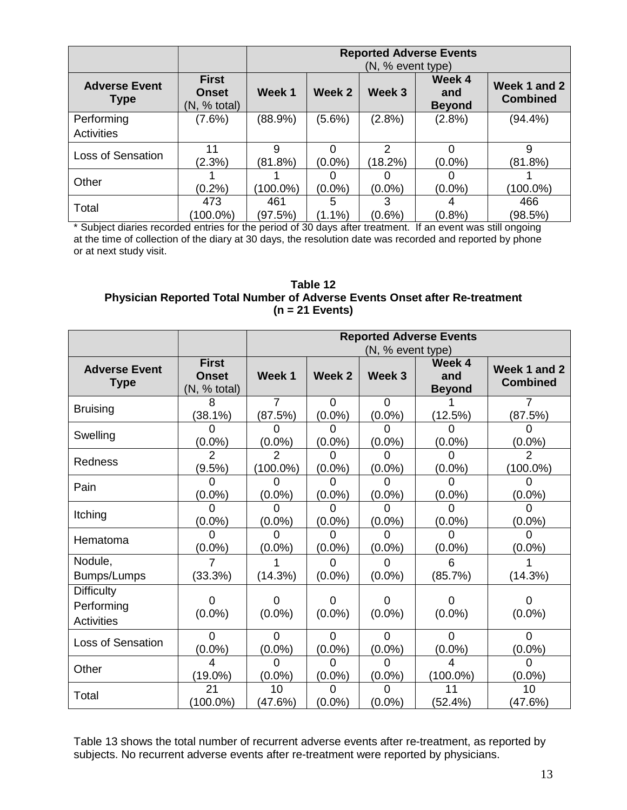|                                     |                                              | <b>Reported Adverse Events</b><br>(N, % event type) |                |              |                                |                                 |  |
|-------------------------------------|----------------------------------------------|-----------------------------------------------------|----------------|--------------|--------------------------------|---------------------------------|--|
| <b>Adverse Event</b><br><b>Type</b> | <b>First</b><br><b>Onset</b><br>(N, % total) | Week 1                                              | Week 2         | Week 3       | Week 4<br>and<br><b>Beyond</b> | Week 1 and 2<br><b>Combined</b> |  |
| Performing<br><b>Activities</b>     | (7.6%)                                       | (88.9%)                                             | $(5.6\%)$      | (2.8%)       | $(2.8\%)$                      | $(94.4\%)$                      |  |
| <b>Loss of Sensation</b>            | 11<br>(2.3%)                                 | 9<br>(81.8%)                                        | $(0.0\%)$      | 2<br>(18.2%) | $(0.0\%)$                      | 9<br>(81.8%)                    |  |
| Other                               | $(0.2\%)$                                    | $(100.0\%)$                                         | $(0.0\%)$      | $(0.0\%)$    | $(0.0\%)$                      | $(100.0\%)$                     |  |
| Total                               | 473<br>$(100.0\%)$                           | 461<br>(97.5%)                                      | 5<br>$(1.1\%)$ | $(0.6\%)$    | (0.8%                          | 466<br>(98.5%)                  |  |

\* Subject diaries recorded entries for the period of 30 days after treatment. If an event was still ongoing at the time of collection of the diary at 30 days, the resolution date was recorded and reported by phone or at next study visit.

# **Table 12 Physician Reported Total Number of Adverse Events Onset after Re-treatment (n = 21 Events)**

|                                                      |                                              | <b>Reported Adverse Events</b> |                       |                       |                                |                                 |
|------------------------------------------------------|----------------------------------------------|--------------------------------|-----------------------|-----------------------|--------------------------------|---------------------------------|
|                                                      |                                              |                                |                       | (N, % event type)     |                                |                                 |
| <b>Adverse Event</b><br><b>Type</b>                  | <b>First</b><br><b>Onset</b><br>(N, % total) | Week 1                         | Week <sub>2</sub>     | Week <sub>3</sub>     | Week 4<br>and<br><b>Beyond</b> | Week 1 and 2<br><b>Combined</b> |
| <b>Bruising</b>                                      | 8<br>(38.1%)                                 | 7<br>(87.5%)                   | $\Omega$<br>$(0.0\%)$ | $\Omega$<br>$(0.0\%)$ | (12.5%)                        | 7<br>(87.5%)                    |
| Swelling                                             | 0<br>$(0.0\%)$                               | 0<br>$(0.0\%)$                 | $\Omega$<br>$(0.0\%)$ | 0<br>$(0.0\%)$        | $(0.0\%)$                      | 0<br>$(0.0\%)$                  |
| Redness                                              | $\overline{2}$<br>(9.5%)                     | $\mathfrak{p}$<br>$(100.0\%)$  | ი<br>$(0.0\%)$        | O<br>$(0.0\%)$        | $(0.0\%)$                      | $\overline{2}$<br>$(100.0\%)$   |
| Pain                                                 | ი<br>$(0.0\%)$                               | $(0.0\%)$                      | 0<br>$(0.0\%)$        | 0<br>$(0.0\%)$        | $(0.0\%)$                      | O<br>$(0.0\%)$                  |
| Itching                                              | $(0.0\%)$                                    | $(0.0\%)$                      | 0<br>$(0.0\%)$        | O<br>$(0.0\%)$        | $(0.0\%)$                      | 0<br>$(0.0\%)$                  |
| Hematoma                                             | $(0.0\%)$                                    | $(0.0\%)$                      | 0<br>$(0.0\%)$        | O<br>$(0.0\%)$        | $(0.0\%)$                      | $(0.0\%)$                       |
| Nodule,<br>Bumps/Lumps                               | 7<br>(33.3%)                                 | (14.3%)                        | $\Omega$<br>$(0.0\%)$ | $\Omega$<br>$(0.0\%)$ | 6<br>(85.7%)                   | (14.3%)                         |
| <b>Difficulty</b><br>Performing<br><b>Activities</b> | Ω<br>$(0.0\%)$                               | 0<br>$(0.0\%)$                 | $\Omega$<br>$(0.0\%)$ | 0<br>$(0.0\%)$        | O<br>$(0.0\%)$                 | 0<br>$(0.0\%)$                  |
| <b>Loss of Sensation</b>                             | $\Omega$<br>$(0.0\%)$                        | $\Omega$<br>$(0.0\%)$          | $\Omega$<br>$(0.0\%)$ | $\Omega$<br>$(0.0\%)$ | $\Omega$<br>$(0.0\%)$          | $\Omega$<br>$(0.0\%)$           |
| Other                                                | 4<br>$(19.0\%)$                              | $\Omega$<br>$(0.0\%)$          | $\Omega$<br>$(0.0\%)$ | $\Omega$<br>$(0.0\%)$ | 4<br>$(100.0\%)$               | $\Omega$<br>$(0.0\%)$           |
| Total                                                | 21<br>$(100.0\%)$                            | 10<br>(47.6%)                  | $\Omega$<br>$(0.0\%)$ | 0<br>$(0.0\%)$        | 11<br>(52.4%)                  | 10<br>(47.6%)                   |

Table 13 shows the total number of recurrent adverse events after re-treatment, as reported by subjects. No recurrent adverse events after re-treatment were reported by physicians.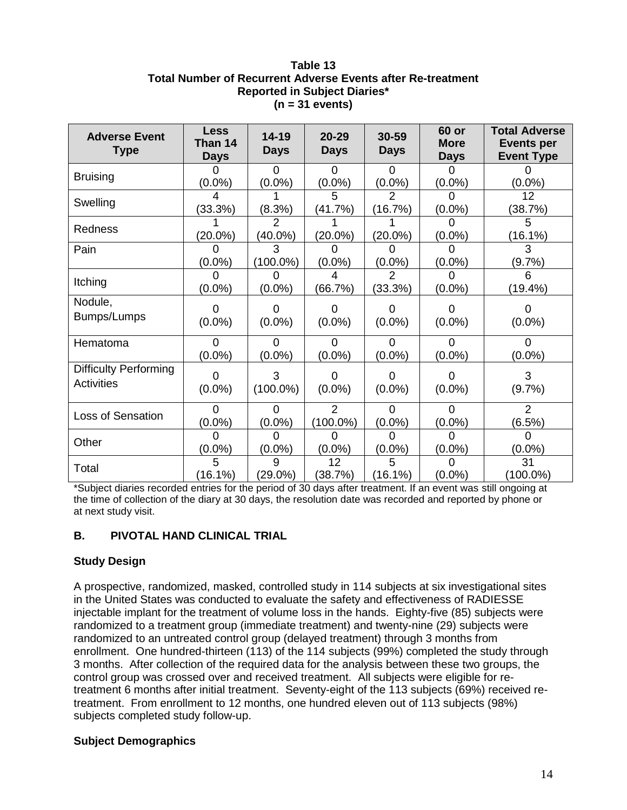# **Table 13 Total Number of Recurrent Adverse Events after Re-treatment Reported in Subject Diaries\* (n = 31 events)**

| <b>Adverse Event</b><br><b>Type</b>               | <b>Less</b><br>Than 14<br><b>Days</b> | $14 - 19$<br><b>Days</b> | $20 - 29$<br><b>Days</b>  | 30-59<br><b>Days</b>      | 60 or<br><b>More</b><br><b>Days</b> | <b>Total Adverse</b><br><b>Events per</b><br><b>Event Type</b> |
|---------------------------------------------------|---------------------------------------|--------------------------|---------------------------|---------------------------|-------------------------------------|----------------------------------------------------------------|
| <b>Bruising</b>                                   | 0<br>$(0.0\%)$                        | $\Omega$<br>$(0.0\%)$    | $\Omega$<br>$(0.0\%)$     | $\Omega$<br>$(0.0\%)$     | <sup>0</sup><br>$(0.0\%)$           | $(0.0\%)$                                                      |
| Swelling                                          | 4<br>(33.3%)                          | (8.3%)                   | 5<br>(41.7%)              | $\overline{2}$<br>(16.7%) | $\Omega$<br>$(0.0\%)$               | 12<br>(38.7%)                                                  |
| Redness                                           | $(20.0\%)$                            | $(40.0\%)$               | $(20.0\%)$                | $(20.0\%)$                | $(0.0\%)$                           | 5<br>(16.1%)                                                   |
| Pain                                              | $(0.0\%)$                             | 3<br>(100.0%)            | ი<br>$(0.0\%)$            | $(0.0\%)$                 | O<br>$(0.0\%)$                      | 3<br>(9.7%)                                                    |
| Itching                                           | $(0.0\%)$                             | $(0.0\%)$                | 4<br>(66.7%)              | 2<br>(33.3%)              | $(0.0\%)$                           | ิค<br>(19.4%)                                                  |
| Nodule,<br>Bumps/Lumps                            | 0<br>$(0.0\%)$                        | O<br>$(0.0\%)$           | 0<br>$(0.0\%)$            | 0<br>$(0.0\%)$            | 0<br>$(0.0\%)$                      | 0<br>$(0.0\%)$                                                 |
| Hematoma                                          | $\Omega$<br>$(0.0\%)$                 | $\Omega$<br>$(0.0\%)$    | $\Omega$<br>$(0.0\%)$     | $\Omega$<br>$(0.0\%)$     | $\Omega$<br>$(0.0\%)$               | $\Omega$<br>$(0.0\%)$                                          |
| <b>Difficulty Performing</b><br><b>Activities</b> | 0<br>$(0.0\%)$                        | 3<br>$(100.0\%)$         | <sup>0</sup><br>$(0.0\%)$ | 0<br>$(0.0\%)$            | 0<br>$(0.0\%)$                      | 3<br>(9.7%)                                                    |
| <b>Loss of Sensation</b>                          | $\Omega$<br>$(0.0\%)$                 | $\Omega$<br>$(0.0\%)$    | 2<br>$(100.0\%)$          | $\Omega$<br>$(0.0\%)$     | $\Omega$<br>$(0.0\%)$               | 2<br>(6.5%)                                                    |
| Other                                             | 0<br>$(0.0\%)$                        | $(0.0\%)$                | O<br>$(0.0\%)$            | $(0.0\%)$                 | $(0.0\%)$                           | 0<br>$(0.0\%)$                                                 |
| Total                                             | 5<br>(16.1%)                          | 9<br>$(29.0\%)$          | 12<br>(38.7%)             | 5<br>(16.1%)              | O<br>$(0.0\%)$                      | 31<br>$(100.0\%)$                                              |

\*Subject diaries recorded entries for the period of 30 days after treatment. If an event was still ongoing at the time of collection of the diary at 30 days, the resolution date was recorded and reported by phone or at next study visit.

# **B. PIVOTAL HAND CLINICAL TRIAL**

# **Study Design**

A prospective, randomized, masked, controlled study in 114 subjects at six investigational sites in the United States was conducted to evaluate the safety and effectiveness of RADIESSE injectable implant for the treatment of volume loss in the hands. Eighty-five (85) subjects were randomized to a treatment group (immediate treatment) and twenty-nine (29) subjects were randomized to an untreated control group (delayed treatment) through 3 months from enrollment. One hundred-thirteen (113) of the 114 subjects (99%) completed the study through 3 months. After collection of the required data for the analysis between these two groups, the control group was crossed over and received treatment. All subjects were eligible for retreatment 6 months after initial treatment. Seventy-eight of the 113 subjects (69%) received retreatment. From enrollment to 12 months, one hundred eleven out of 113 subjects (98%) subjects completed study follow-up.

# **Subject Demographics**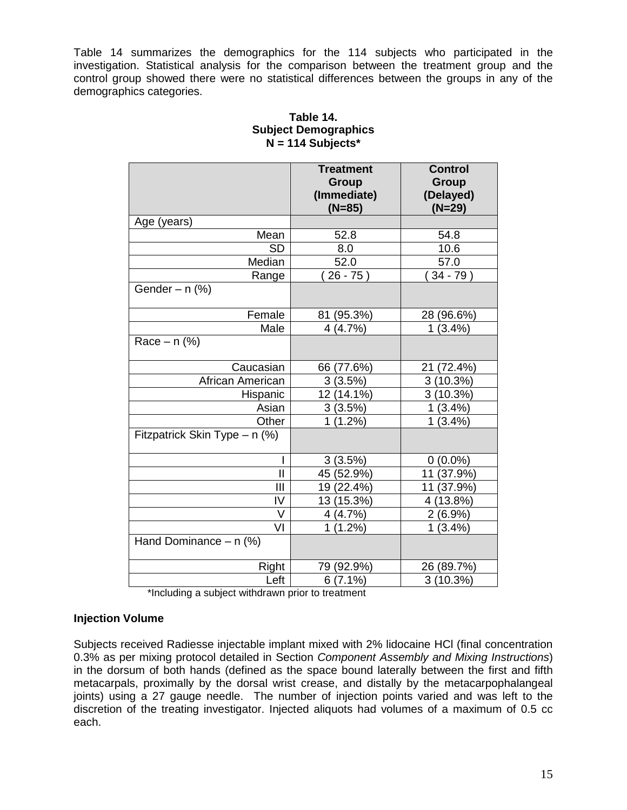Table 14 summarizes the demographics for the 114 subjects who participated in the investigation. Statistical analysis for the comparison between the treatment group and the control group showed there were no statistical differences between the groups in any of the demographics categories.

|                               | <b>Treatment</b><br><b>Group</b><br>(Immediate)<br>$(N=85)$ | <b>Control</b><br><b>Group</b><br>(Delayed)<br>$(N=29)$ |
|-------------------------------|-------------------------------------------------------------|---------------------------------------------------------|
| Age (years)                   |                                                             |                                                         |
| Mean                          | 52.8                                                        | 54.8                                                    |
| <b>SD</b>                     | 8.0                                                         | 10.6                                                    |
| Median                        | 52.0                                                        | 57.0                                                    |
| Range                         | $26 - 75$                                                   | $34 - 79$ )                                             |
| Gender $- n$ (%)              |                                                             |                                                         |
| Female                        | (95.3%)<br>81                                               | 28 (96.6%)                                              |
| Male                          | 4(4.7%)                                                     | (3.4%)<br>1                                             |
| Race $- n$ (%)                |                                                             |                                                         |
| Caucasian                     | 66 (77.6%)                                                  | 21<br>(72.4%)                                           |
| African American              | 3(3.5%)                                                     | 3(10.3%)                                                |
| Hispanic                      | 12 (14.1%)                                                  | 3(10.3%)                                                |
| Asian                         | 3(3.5%)                                                     | (3.4%)<br>1                                             |
| Other                         | $\mathbf 1$<br>$(1.2\%)$                                    | 1<br>(3.4%)                                             |
| Fitzpatrick Skin Type - n (%) |                                                             |                                                         |
|                               | 3(3.5%)                                                     | $0(0.0\%)$                                              |
| $\mathbf{I}$                  | 45 (52.9%)                                                  | (37.9%)<br>11                                           |
| Ш                             | 19 (22.4%)                                                  | (37.9%)<br>11                                           |
| IV                            | 13<br>(15.3%)                                               | 13.8%)<br>4                                             |
| V                             | 4 (4.7%)                                                    | $2(6.9\%)$                                              |
| VI                            | $(1.2\%)$<br>1                                              | 1<br>(3.4%)                                             |
| Hand Dominance $- n$ (%)      |                                                             |                                                         |
| Right                         | 79 (92.9%)                                                  | 26 (89.7%)                                              |
| Left                          | $6(7.1\%)$                                                  | 3(10.3%)                                                |

# **Table 14. Subject Demographics N = 114 Subjects\***

\*Including a subject withdrawn prior to treatment

# **Injection Volume**

Subjects received Radiesse injectable implant mixed with 2% lidocaine HCl (final concentration 0.3% as per mixing protocol detailed in Section *Component Assembly and Mixing Instructions*) in the dorsum of both hands (defined as the space bound laterally between the first and fifth metacarpals, proximally by the dorsal wrist crease, and distally by the metacarpophalangeal joints) using a 27 gauge needle. The number of injection points varied and was left to the discretion of the treating investigator. Injected aliquots had volumes of a maximum of 0.5 cc each.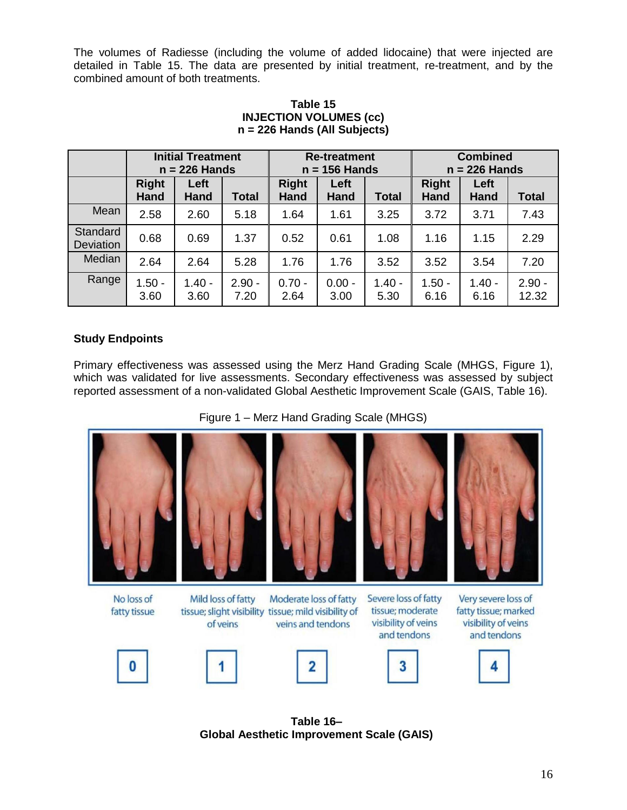The volumes of Radiesse (including the volume of added lidocaine) that were injected are detailed in Table 15. The data are presented by initial treatment, re-treatment, and by the combined amount of both treatments.

|                              |                             | <b>Initial Treatment</b><br>$n = 226$ Hands |                  | <b>Re-treatment</b><br>$n = 156$ Hands |                     |                  | <b>Combined</b><br>$n = 226$ Hands |                  |                   |
|------------------------------|-----------------------------|---------------------------------------------|------------------|----------------------------------------|---------------------|------------------|------------------------------------|------------------|-------------------|
|                              | <b>Right</b><br><b>Hand</b> | Left<br>Hand                                | <b>Total</b>     | <b>Right</b><br>Hand                   | Left<br><b>Hand</b> | <b>Total</b>     | <b>Right</b><br><b>Hand</b>        | Left<br>Hand     | <b>Total</b>      |
| Mean                         | 2.58                        | 2.60                                        | 5.18             | 1.64                                   | 1.61                | 3.25             | 3.72                               | 3.71             | 7.43              |
| Standard<br><b>Deviation</b> | 0.68                        | 0.69                                        | 1.37             | 0.52                                   | 0.61                | 1.08             | 1.16                               | 1.15             | 2.29              |
| Median                       | 2.64                        | 2.64                                        | 5.28             | 1.76                                   | 1.76                | 3.52             | 3.52                               | 3.54             | 7.20              |
| Range                        | $1.50 -$<br>3.60            | $1.40 -$<br>3.60                            | $2.90 -$<br>7.20 | $0.70 -$<br>2.64                       | $0.00 -$<br>3.00    | $1.40 -$<br>5.30 | $1.50 -$<br>6.16                   | $1.40 -$<br>6.16 | $2.90 -$<br>12.32 |

# **Table 15 INJECTION VOLUMES (cc) n = 226 Hands (All Subjects)**

# **Study Endpoints**

Primary effectiveness was assessed using the Merz Hand Grading Scale (MHGS, Figure 1), which was validated for live assessments. Secondary effectiveness was assessed by subject reported assessment of a non-validated Global Aesthetic Improvement Scale (GAIS, Table 16).

Figure 1 – Merz Hand Grading Scale (MHGS)



**Table 16– Global Aesthetic Improvement Scale (GAIS)**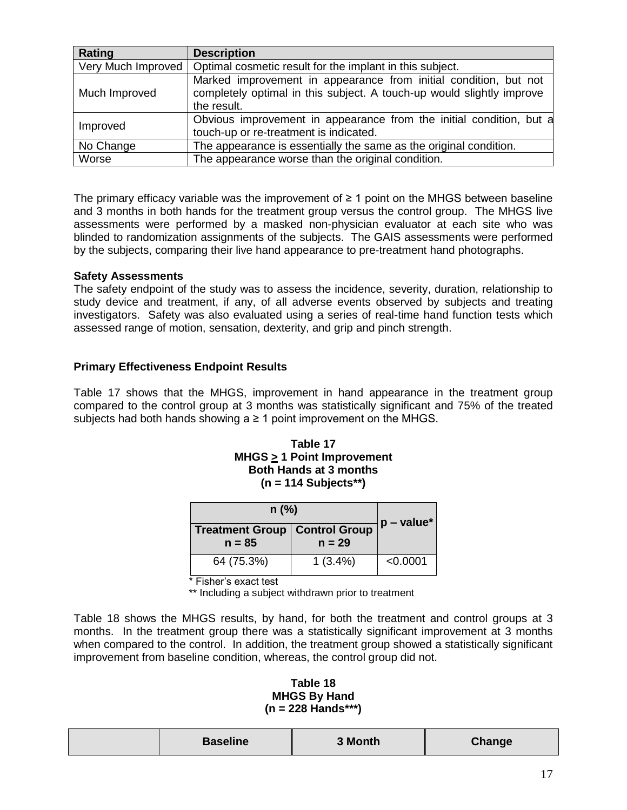| Rating             | <b>Description</b>                                                    |  |  |  |  |
|--------------------|-----------------------------------------------------------------------|--|--|--|--|
| Very Much Improved | Optimal cosmetic result for the implant in this subject.              |  |  |  |  |
|                    | Marked improvement in appearance from initial condition, but not      |  |  |  |  |
| Much Improved      | completely optimal in this subject. A touch-up would slightly improve |  |  |  |  |
|                    | the result.                                                           |  |  |  |  |
| Improved           | Obvious improvement in appearance from the initial condition, but a   |  |  |  |  |
|                    | touch-up or re-treatment is indicated.                                |  |  |  |  |
| No Change          | The appearance is essentially the same as the original condition.     |  |  |  |  |
| Worse              | The appearance worse than the original condition.                     |  |  |  |  |

The primary efficacy variable was the improvement of  $\geq 1$  point on the MHGS between baseline and 3 months in both hands for the treatment group versus the control group. The MHGS live assessments were performed by a masked non-physician evaluator at each site who was blinded to randomization assignments of the subjects. The GAIS assessments were performed by the subjects, comparing their live hand appearance to pre-treatment hand photographs.

# **Safety Assessments**

The safety endpoint of the study was to assess the incidence, severity, duration, relationship to study device and treatment, if any, of all adverse events observed by subjects and treating investigators. Safety was also evaluated using a series of real-time hand function tests which assessed range of motion, sensation, dexterity, and grip and pinch strength.

# **Primary Effectiveness Endpoint Results**

Table 17 shows that the MHGS, improvement in hand appearance in the treatment group compared to the control group at 3 months was statistically significant and 75% of the treated subjects had both hands showing  $a \ge 1$  point improvement on the MHGS.

### **Table 17 MHGS > 1 Point Improvement Both Hands at 3 months (n = 114 Subjects\*\*)**

| $n$ (%)    | $ p - value^* $                                    |          |  |
|------------|----------------------------------------------------|----------|--|
| $n = 85$   | <b>Treatment Group   Control Group</b><br>$n = 29$ |          |  |
| 64 (75.3%) | $1(3.4\%)$                                         | < 0.0001 |  |

\* Fisher's exact test

\*\* Including a subject withdrawn prior to treatment

Table 18 shows the MHGS results, by hand, for both the treatment and control groups at 3 months. In the treatment group there was a statistically significant improvement at 3 months when compared to the control. In addition, the treatment group showed a statistically significant improvement from baseline condition, whereas, the control group did not.

### **Table 18 MHGS By Hand (n = 228 Hands\*\*\*)**

| <b>Baseline</b> | 3 Month | Change |
|-----------------|---------|--------|
|-----------------|---------|--------|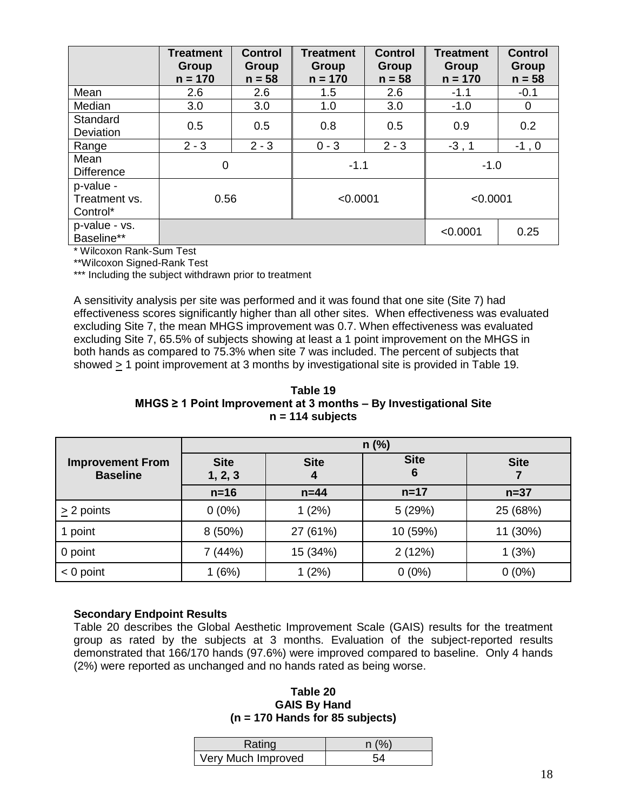|                                        | <b>Treatment</b><br>Group<br>$n = 170$ | <b>Control</b><br>Group<br>$n = 58$ | <b>Treatment</b><br>Group<br>$n = 170$ | <b>Control</b><br>Group<br>$n = 58$ | <b>Treatment</b><br>Group<br>$n = 170$ | <b>Control</b><br><b>Group</b><br>$n = 58$ |
|----------------------------------------|----------------------------------------|-------------------------------------|----------------------------------------|-------------------------------------|----------------------------------------|--------------------------------------------|
| Mean                                   | 2.6                                    | 2.6                                 | 1.5                                    | 2.6                                 | $-1.1$                                 | $-0.1$                                     |
| Median                                 | 3.0                                    | 3.0                                 | 1.0                                    | 3.0                                 | $-1.0$                                 | $\mathbf 0$                                |
| Standard<br>Deviation                  | 0.5                                    | 0.5                                 | 0.8                                    | 0.5                                 | 0.9                                    | 0.2                                        |
| Range                                  | $2 - 3$                                | $2 - 3$                             | $0 - 3$                                | $2 - 3$                             | $-3, 1$                                | $-1$ , 0                                   |
| Mean<br><b>Difference</b>              | 0                                      |                                     | $-1.1$                                 |                                     | $-1.0$                                 |                                            |
| p-value -<br>Treatment vs.<br>Control* | 0.56                                   |                                     | < 0.0001                               |                                     | < 0.0001                               |                                            |
| p-value - vs.<br>Baseline**            |                                        |                                     |                                        |                                     | < 0.0001                               | 0.25                                       |

\* Wilcoxon Rank-Sum Test

\*\*Wilcoxon Signed-Rank Test

\*\*\* Including the subject withdrawn prior to treatment

A sensitivity analysis per site was performed and it was found that one site (Site 7) had effectiveness scores significantly higher than all other sites. When effectiveness was evaluated excluding Site 7, the mean MHGS improvement was 0.7. When effectiveness was evaluated excluding Site 7, 65.5% of subjects showing at least a 1 point improvement on the MHGS in both hands as compared to 75.3% when site 7 was included. The percent of subjects that showed  $\geq$  1 point improvement at 3 months by investigational site is provided in Table 19.

**Table 19 MHGS ≥ 1 Point Improvement at 3 months – By Investigational Site n = 114 subjects**

|                                            | $n$ (%)                                    |          |                  |             |  |
|--------------------------------------------|--------------------------------------------|----------|------------------|-------------|--|
| <b>Improvement From</b><br><b>Baseline</b> | <b>Site</b><br><b>Site</b><br>1, 2, 3<br>4 |          | <b>Site</b><br>6 | <b>Site</b> |  |
|                                            | $n=16$                                     | $n=44$   | $n = 17$         | $n=37$      |  |
| $\geq$ 2 points                            | $0(0\%)$                                   | 1(2%)    | 5(29%)           | 25 (68%)    |  |
| 1 point                                    | $8(50\%)$                                  | 27 (61%) | 10 (59%)         | 11 (30%)    |  |
| 0 point                                    | 7(44%)                                     | 15 (34%) | 2(12%)           | 1(3%)       |  |
| $< 0$ point                                | (6%)                                       | 1(2%)    | $0(0\%)$         | $0(0\%)$    |  |

#### **Secondary Endpoint Results**

Table 20 describes the Global Aesthetic Improvement Scale (GAIS) results for the treatment group as rated by the subjects at 3 months. Evaluation of the subject-reported results demonstrated that 166/170 hands (97.6%) were improved compared to baseline. Only 4 hands (2%) were reported as unchanged and no hands rated as being worse.

**Table 20 GAIS By Hand (n = 170 Hands for 85 subjects)**

| Rating             | n (% |
|--------------------|------|
| Very Much Improved |      |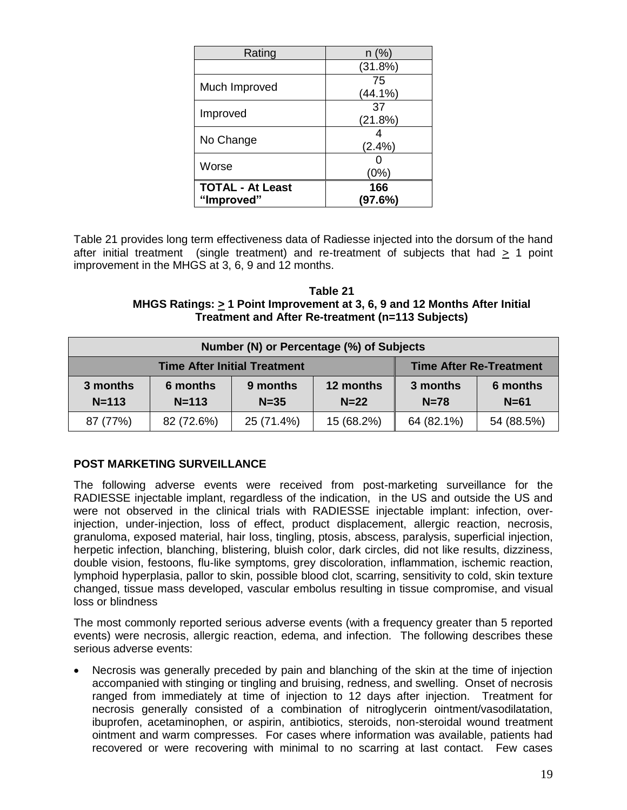| Rating                                | $n$ (%)        |  |  |
|---------------------------------------|----------------|--|--|
|                                       | (31.8%)        |  |  |
| Much Improved                         | 75<br>(44.1%)  |  |  |
| Improved                              | 37<br>(21.8%)  |  |  |
| No Change                             | $(2.4\%)$      |  |  |
| Worse                                 | (0%)           |  |  |
| <b>TOTAL - At Least</b><br>"Improved" | 166<br>(97.6%) |  |  |

Table 21 provides long term effectiveness data of Radiesse injected into the dorsum of the hand after initial treatment (single treatment) and re-treatment of subjects that had > 1 point improvement in the MHGS at 3, 6, 9 and 12 months.

**Table 21 MHGS Ratings: > 1 Point Improvement at 3, 6, 9 and 12 Months After Initial Treatment and After Re-treatment (n=113 Subjects)**

| Number (N) or Percentage (%) of Subjects                              |                       |                      |                     |                    |                    |
|-----------------------------------------------------------------------|-----------------------|----------------------|---------------------|--------------------|--------------------|
| <b>Time After Re-Treatment</b><br><b>Time After Initial Treatment</b> |                       |                      |                     |                    |                    |
| 3 months<br>$N = 113$                                                 | 6 months<br>$N = 113$ | 9 months<br>$N = 35$ | 12 months<br>$N=22$ | 3 months<br>$N=78$ | 6 months<br>$N=61$ |
| 87 (77%)                                                              | 82 (72.6%)            | 25 (71.4%)           | 15 (68.2%)          | 64 (82.1%)         | 54 (88.5%)         |

# **POST MARKETING SURVEILLANCE**

The following adverse events were received from post-marketing surveillance for the RADIESSE injectable implant, regardless of the indication, in the US and outside the US and were not observed in the clinical trials with RADIESSE injectable implant: infection, overinjection, under-injection, loss of effect, product displacement, allergic reaction, necrosis, granuloma, exposed material, hair loss, tingling, ptosis, abscess, paralysis, superficial injection, herpetic infection, blanching, blistering, bluish color, dark circles, did not like results, dizziness, double vision, festoons, flu-like symptoms, grey discoloration, inflammation, ischemic reaction, lymphoid hyperplasia, pallor to skin, possible blood clot, scarring, sensitivity to cold, skin texture changed, tissue mass developed, vascular embolus resulting in tissue compromise, and visual loss or blindness

The most commonly reported serious adverse events (with a frequency greater than 5 reported events) were necrosis, allergic reaction, edema, and infection. The following describes these serious adverse events:

 Necrosis was generally preceded by pain and blanching of the skin at the time of injection accompanied with stinging or tingling and bruising, redness, and swelling. Onset of necrosis ranged from immediately at time of injection to 12 days after injection. Treatment for necrosis generally consisted of a combination of nitroglycerin ointment/vasodilatation, ibuprofen, acetaminophen, or aspirin, antibiotics, steroids, non-steroidal wound treatment ointment and warm compresses. For cases where information was available, patients had recovered or were recovering with minimal to no scarring at last contact. Few cases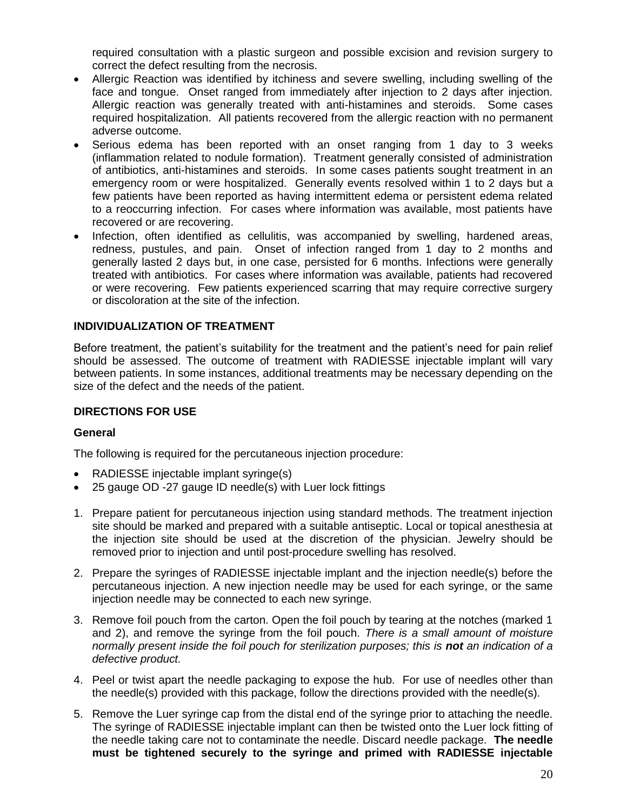required consultation with a plastic surgeon and possible excision and revision surgery to correct the defect resulting from the necrosis.

- Allergic Reaction was identified by itchiness and severe swelling, including swelling of the face and tongue. Onset ranged from immediately after injection to 2 days after injection. Allergic reaction was generally treated with anti-histamines and steroids. Some cases required hospitalization. All patients recovered from the allergic reaction with no permanent adverse outcome.
- Serious edema has been reported with an onset ranging from 1 day to 3 weeks (inflammation related to nodule formation). Treatment generally consisted of administration of antibiotics, anti-histamines and steroids. In some cases patients sought treatment in an emergency room or were hospitalized. Generally events resolved within 1 to 2 days but a few patients have been reported as having intermittent edema or persistent edema related to a reoccurring infection. For cases where information was available, most patients have recovered or are recovering.
- Infection, often identified as cellulitis, was accompanied by swelling, hardened areas, redness, pustules, and pain. Onset of infection ranged from 1 day to 2 months and generally lasted 2 days but, in one case, persisted for 6 months. Infections were generally treated with antibiotics. For cases where information was available, patients had recovered or were recovering. Few patients experienced scarring that may require corrective surgery or discoloration at the site of the infection.

# **INDIVIDUALIZATION OF TREATMENT**

Before treatment, the patient's suitability for the treatment and the patient's need for pain relief should be assessed. The outcome of treatment with RADIESSE injectable implant will vary between patients. In some instances, additional treatments may be necessary depending on the size of the defect and the needs of the patient.

# **DIRECTIONS FOR USE**

# **General**

The following is required for the percutaneous injection procedure:

- RADIESSE injectable implant syringe(s)
- 25 gauge OD -27 gauge ID needle(s) with Luer lock fittings
- 1. Prepare patient for percutaneous injection using standard methods. The treatment injection site should be marked and prepared with a suitable antiseptic. Local or topical anesthesia at the injection site should be used at the discretion of the physician. Jewelry should be removed prior to injection and until post-procedure swelling has resolved.
- 2. Prepare the syringes of RADIESSE injectable implant and the injection needle(s) before the percutaneous injection. A new injection needle may be used for each syringe, or the same injection needle may be connected to each new syringe.
- 3. Remove foil pouch from the carton. Open the foil pouch by tearing at the notches (marked 1 and 2), and remove the syringe from the foil pouch. *There is a small amount of moisture normally present inside the foil pouch for sterilization purposes; this is not an indication of a defective product.*
- 4. Peel or twist apart the needle packaging to expose the hub. For use of needles other than the needle(s) provided with this package, follow the directions provided with the needle(s).
- 5. Remove the Luer syringe cap from the distal end of the syringe prior to attaching the needle. The syringe of RADIESSE injectable implant can then be twisted onto the Luer lock fitting of the needle taking care not to contaminate the needle. Discard needle package. **The needle must be tightened securely to the syringe and primed with RADIESSE injectable**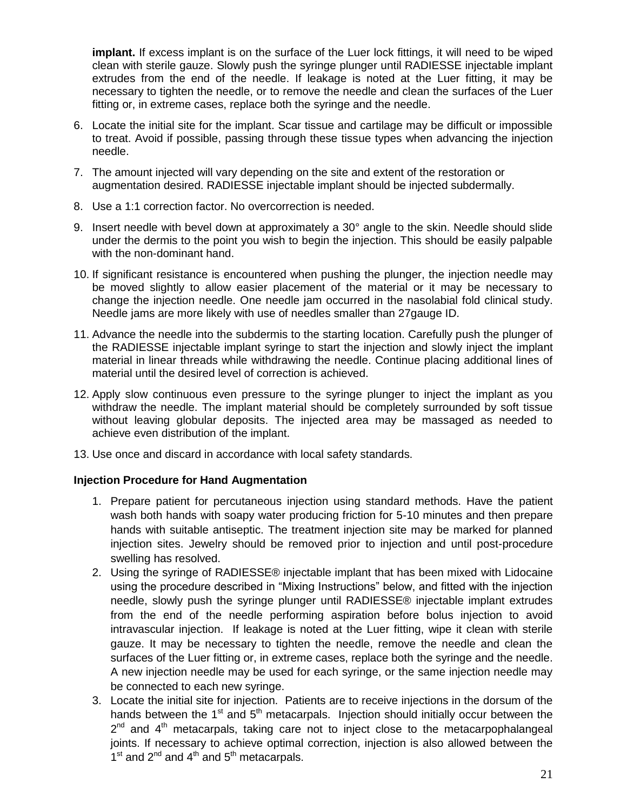**implant.** If excess implant is on the surface of the Luer lock fittings, it will need to be wiped clean with sterile gauze. Slowly push the syringe plunger until RADIESSE injectable implant extrudes from the end of the needle. If leakage is noted at the Luer fitting, it may be necessary to tighten the needle, or to remove the needle and clean the surfaces of the Luer fitting or, in extreme cases, replace both the syringe and the needle.

- 6. Locate the initial site for the implant. Scar tissue and cartilage may be difficult or impossible to treat. Avoid if possible, passing through these tissue types when advancing the injection needle.
- 7. The amount injected will vary depending on the site and extent of the restoration or augmentation desired. RADIESSE injectable implant should be injected subdermally.
- 8. Use a 1:1 correction factor. No overcorrection is needed.
- 9. Insert needle with bevel down at approximately a 30° angle to the skin. Needle should slide under the dermis to the point you wish to begin the injection. This should be easily palpable with the non-dominant hand.
- 10. If significant resistance is encountered when pushing the plunger, the injection needle may be moved slightly to allow easier placement of the material or it may be necessary to change the injection needle. One needle jam occurred in the nasolabial fold clinical study. Needle jams are more likely with use of needles smaller than 27gauge ID.
- 11. Advance the needle into the subdermis to the starting location. Carefully push the plunger of the RADIESSE injectable implant syringe to start the injection and slowly inject the implant material in linear threads while withdrawing the needle. Continue placing additional lines of material until the desired level of correction is achieved.
- 12. Apply slow continuous even pressure to the syringe plunger to inject the implant as you withdraw the needle. The implant material should be completely surrounded by soft tissue without leaving globular deposits. The injected area may be massaged as needed to achieve even distribution of the implant.
- 13. Use once and discard in accordance with local safety standards.

# **Injection Procedure for Hand Augmentation**

- 1. Prepare patient for percutaneous injection using standard methods. Have the patient wash both hands with soapy water producing friction for 5-10 minutes and then prepare hands with suitable antiseptic. The treatment injection site may be marked for planned injection sites. Jewelry should be removed prior to injection and until post-procedure swelling has resolved.
- 2. Using the syringe of RADIESSE® injectable implant that has been mixed with Lidocaine using the procedure described in "Mixing Instructions" below, and fitted with the injection needle, slowly push the syringe plunger until RADIESSE® injectable implant extrudes from the end of the needle performing aspiration before bolus injection to avoid intravascular injection. If leakage is noted at the Luer fitting, wipe it clean with sterile gauze. It may be necessary to tighten the needle, remove the needle and clean the surfaces of the Luer fitting or, in extreme cases, replace both the syringe and the needle. A new injection needle may be used for each syringe, or the same injection needle may be connected to each new syringe.
- 3. Locate the initial site for injection. Patients are to receive injections in the dorsum of the hands between the  $1<sup>st</sup>$  and  $5<sup>th</sup>$  metacarpals. Injection should initially occur between the  $2^{nd}$  and  $4^{th}$  metacarpals, taking care not to inject close to the metacarpophalangeal joints. If necessary to achieve optimal correction, injection is also allowed between the  $1<sup>st</sup>$  and  $2<sup>nd</sup>$  and  $4<sup>th</sup>$  and  $5<sup>th</sup>$  metacarpals.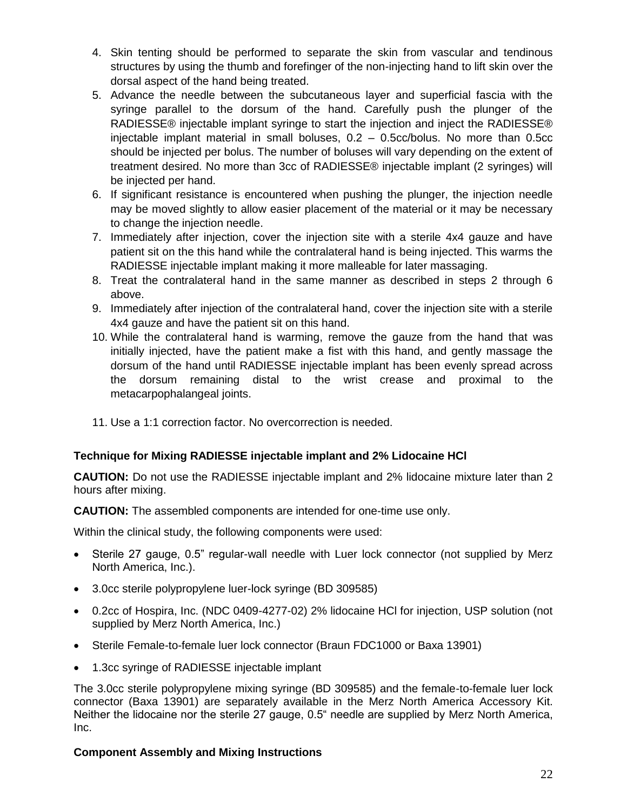- 4. Skin tenting should be performed to separate the skin from vascular and tendinous structures by using the thumb and forefinger of the non-injecting hand to lift skin over the dorsal aspect of the hand being treated.
- 5. Advance the needle between the subcutaneous layer and superficial fascia with the syringe parallel to the dorsum of the hand. Carefully push the plunger of the RADIESSE® injectable implant syringe to start the injection and inject the RADIESSE® injectable implant material in small boluses, 0.2 – 0.5cc/bolus. No more than 0.5cc should be injected per bolus. The number of boluses will vary depending on the extent of treatment desired. No more than 3cc of RADIESSE® injectable implant (2 syringes) will be injected per hand.
- 6. If significant resistance is encountered when pushing the plunger, the injection needle may be moved slightly to allow easier placement of the material or it may be necessary to change the injection needle.
- 7. Immediately after injection, cover the injection site with a sterile 4x4 gauze and have patient sit on the this hand while the contralateral hand is being injected. This warms the RADIESSE injectable implant making it more malleable for later massaging.
- 8. Treat the contralateral hand in the same manner as described in steps 2 through 6 above.
- 9. Immediately after injection of the contralateral hand, cover the injection site with a sterile 4x4 gauze and have the patient sit on this hand.
- 10. While the contralateral hand is warming, remove the gauze from the hand that was initially injected, have the patient make a fist with this hand, and gently massage the dorsum of the hand until RADIESSE injectable implant has been evenly spread across the dorsum remaining distal to the wrist crease and proximal to the metacarpophalangeal joints.
- 11. Use a 1:1 correction factor. No overcorrection is needed.

# **Technique for Mixing RADIESSE injectable implant and 2% Lidocaine HCl**

**CAUTION:** Do not use the RADIESSE injectable implant and 2% lidocaine mixture later than 2 hours after mixing.

**CAUTION:** The assembled components are intended for one-time use only.

Within the clinical study, the following components were used:

- Sterile 27 gauge, 0.5" regular-wall needle with Luer lock connector (not supplied by Merz North America, Inc.).
- 3.0cc sterile polypropylene luer-lock syringe (BD 309585)
- 0.2cc of Hospira, Inc. (NDC 0409-4277-02) 2% lidocaine HCl for injection, USP solution (not supplied by Merz North America, Inc.)
- Sterile Female-to-female luer lock connector (Braun FDC1000 or Baxa 13901)
- 1.3cc syringe of RADIESSE injectable implant

The 3.0cc sterile polypropylene mixing syringe (BD 309585) and the female-to-female luer lock connector (Baxa 13901) are separately available in the Merz North America Accessory Kit. Neither the lidocaine nor the sterile 27 gauge, 0.5" needle are supplied by Merz North America, Inc.

# **Component Assembly and Mixing Instructions**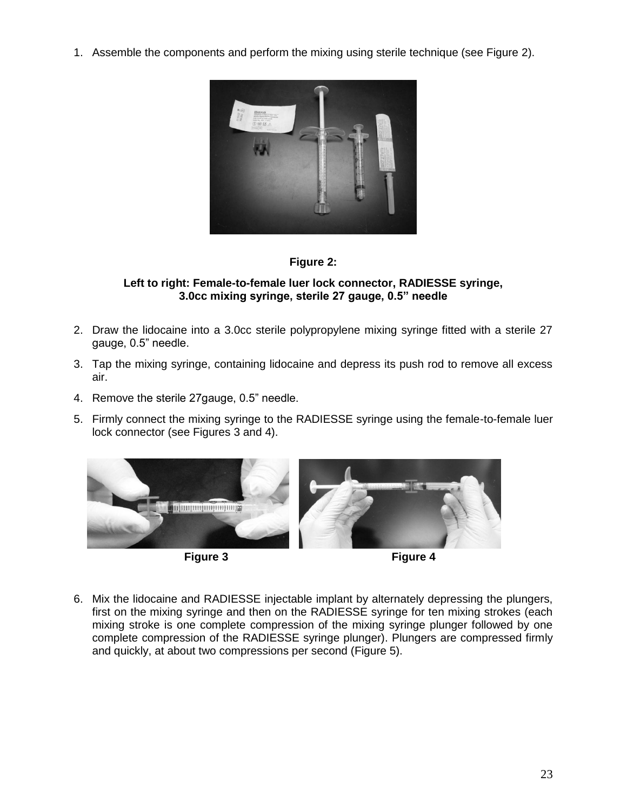1. Assemble the components and perform the mixing using sterile technique (see Figure 2).





### **Left to right: Female-to-female luer lock connector, RADIESSE syringe, 3.0cc mixing syringe, sterile 27 gauge, 0.5" needle**

- 2. Draw the lidocaine into a 3.0cc sterile polypropylene mixing syringe fitted with a sterile 27 gauge, 0.5" needle.
- 3. Tap the mixing syringe, containing lidocaine and depress its push rod to remove all excess air.
- 4. Remove the sterile 27gauge, 0.5" needle.
- 5. Firmly connect the mixing syringe to the RADIESSE syringe using the female-to-female luer lock connector (see Figures 3 and 4).





6. Mix the lidocaine and RADIESSE injectable implant by alternately depressing the plungers, first on the mixing syringe and then on the RADIESSE syringe for ten mixing strokes (each mixing stroke is one complete compression of the mixing syringe plunger followed by one complete compression of the RADIESSE syringe plunger). Plungers are compressed firmly and quickly, at about two compressions per second (Figure 5).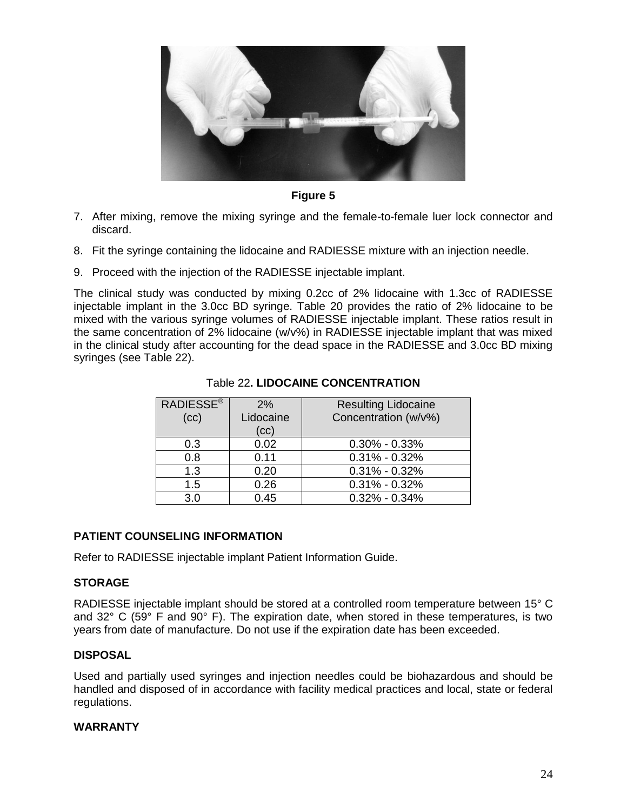

**Figure 5**

- 7. After mixing, remove the mixing syringe and the female-to-female luer lock connector and discard.
- 8. Fit the syringe containing the lidocaine and RADIESSE mixture with an injection needle.
- 9. Proceed with the injection of the RADIESSE injectable implant.

The clinical study was conducted by mixing 0.2cc of 2% lidocaine with 1.3cc of RADIESSE injectable implant in the 3.0cc BD syringe. Table 20 provides the ratio of 2% lidocaine to be mixed with the various syringe volumes of RADIESSE injectable implant. These ratios result in the same concentration of 2% lidocaine (w/v%) in RADIESSE injectable implant that was mixed in the clinical study after accounting for the dead space in the RADIESSE and 3.0cc BD mixing syringes (see Table 22).

| <b>RADIESSE®</b><br>(cc) | 2%<br>Lidocaine<br>(cc) | <b>Resulting Lidocaine</b><br>Concentration (w/v%) |
|--------------------------|-------------------------|----------------------------------------------------|
| 0.3                      | 0.02                    | $0.30\% - 0.33\%$                                  |
| 0.8                      | 0.11                    | $0.31\% - 0.32\%$                                  |
| 1.3                      | 0.20                    | $0.31\% - 0.32\%$                                  |
| 1.5                      | 0.26                    | $0.31\% - 0.32\%$                                  |
| 3.0                      | 0.45                    | $0.32\% - 0.34\%$                                  |

# Table 22**. LIDOCAINE CONCENTRATION**

# **PATIENT COUNSELING INFORMATION**

Refer to RADIESSE injectable implant Patient Information Guide.

# **STORAGE**

RADIESSE injectable implant should be stored at a controlled room temperature between 15° C and  $32^{\circ}$  C (59 $^{\circ}$  F and 90 $^{\circ}$  F). The expiration date, when stored in these temperatures, is two years from date of manufacture. Do not use if the expiration date has been exceeded.

# **DISPOSAL**

Used and partially used syringes and injection needles could be biohazardous and should be handled and disposed of in accordance with facility medical practices and local, state or federal regulations.

### **WARRANTY**